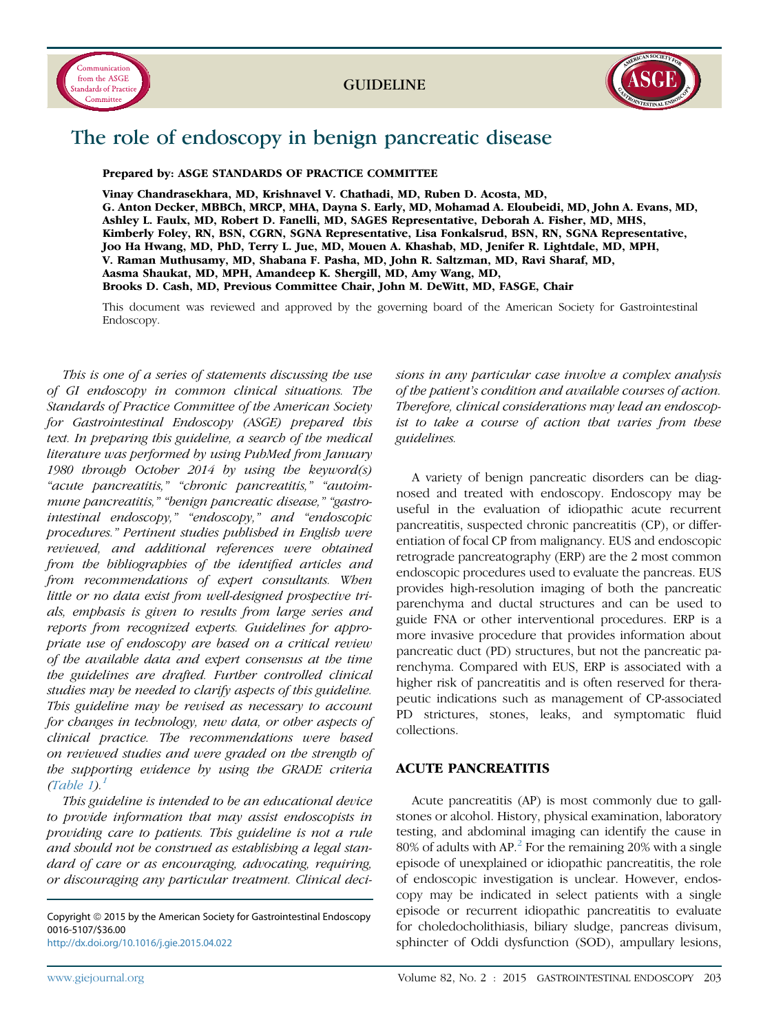



# The role of endoscopy in benign pancreatic disease

Prepared by: ASGE STANDARDS OF PRACTICE COMMITTEE

Vinay Chandrasekhara, MD, Krishnavel V. Chathadi, MD, Ruben D. Acosta, MD, G. Anton Decker, MBBCh, MRCP, MHA, Dayna S. Early, MD, Mohamad A. Eloubeidi, MD, John A. Evans, MD, Ashley L. Faulx, MD, Robert D. Fanelli, MD, SAGES Representative, Deborah A. Fisher, MD, MHS, Kimberly Foley, RN, BSN, CGRN, SGNA Representative, Lisa Fonkalsrud, BSN, RN, SGNA Representative, Joo Ha Hwang, MD, PhD, Terry L. Jue, MD, Mouen A. Khashab, MD, Jenifer R. Lightdale, MD, MPH, V. Raman Muthusamy, MD, Shabana F. Pasha, MD, John R. Saltzman, MD, Ravi Sharaf, MD, Aasma Shaukat, MD, MPH, Amandeep K. Shergill, MD, Amy Wang, MD, Brooks D. Cash, MD, Previous Committee Chair, John M. DeWitt, MD, FASGE, Chair

This document was reviewed and approved by the governing board of the American Society for Gastrointestinal Endoscopy.

This is one of a series of statements discussing the use of GI endoscopy in common clinical situations. The Standards of Practice Committee of the American Society for Gastrointestinal Endoscopy (ASGE) prepared this text. In preparing this guideline, a search of the medical literature was performed by using PubMed from January 1980 through October 2014 by using the keyword(s) "acute pancreatitis," "chronic pancreatitis," "autoimmune pancreatitis," "benign pancreatic disease," "gastrointestinal endoscopy," "endoscopy," and "endoscopic procedures." Pertinent studies published in English were reviewed, and additional references were obtained from the bibliographies of the identified articles and from recommendations of expert consultants. When little or no data exist from well-designed prospective trials, emphasis is given to results from large series and reports from recognized experts. Guidelines for appropriate use of endoscopy are based on a critical review of the available data and expert consensus at the time the guidelines are drafted. Further controlled clinical studies may be needed to clarify aspects of this guideline. This guideline may be revised as necessary to account for changes in technology, new data, or other aspects of clinical practice. The recommendations were based on reviewed studies and were graded on the strength of the supporting evidence by using the GRADE criteria ([Table 1\)](#page-1-0)<sup>[1](#page-8-0)</sup>

This guideline is intended to be an educational device to provide information that may assist endoscopists in providing care to patients. This guideline is not a rule and should not be construed as establishing a legal standard of care or as encouraging, advocating, requiring, or discouraging any particular treatment. Clinical deci-

Copyright © 2015 by the American Society for Gastrointestinal Endoscopy 0016-5107/\$36.00 <http://dx.doi.org/10.1016/j.gie.2015.04.022>

sions in any particular case involve a complex analysis of the patient's condition and available courses of action. Therefore, clinical considerations may lead an endoscopist to take a course of action that varies from these guidelines.

A variety of benign pancreatic disorders can be diagnosed and treated with endoscopy. Endoscopy may be useful in the evaluation of idiopathic acute recurrent pancreatitis, suspected chronic pancreatitis (CP), or differentiation of focal CP from malignancy. EUS and endoscopic retrograde pancreatography (ERP) are the 2 most common endoscopic procedures used to evaluate the pancreas. EUS provides high-resolution imaging of both the pancreatic parenchyma and ductal structures and can be used to guide FNA or other interventional procedures. ERP is a more invasive procedure that provides information about pancreatic duct (PD) structures, but not the pancreatic parenchyma. Compared with EUS, ERP is associated with a higher risk of pancreatitis and is often reserved for therapeutic indications such as management of CP-associated PD strictures, stones, leaks, and symptomatic fluid collections.

## ACUTE PANCREATITIS

Acute pancreatitis (AP) is most commonly due to gallstones or alcohol. History, physical examination, laboratory testing, and abdominal imaging can identify the cause in 80% of adults with AP.<sup>[2](#page-8-0)</sup> For the remaining 20% with a single episode of unexplained or idiopathic pancreatitis, the role of endoscopic investigation is unclear. However, endoscopy may be indicated in select patients with a single episode or recurrent idiopathic pancreatitis to evaluate for choledocholithiasis, biliary sludge, pancreas divisum, sphincter of Oddi dysfunction (SOD), ampullary lesions,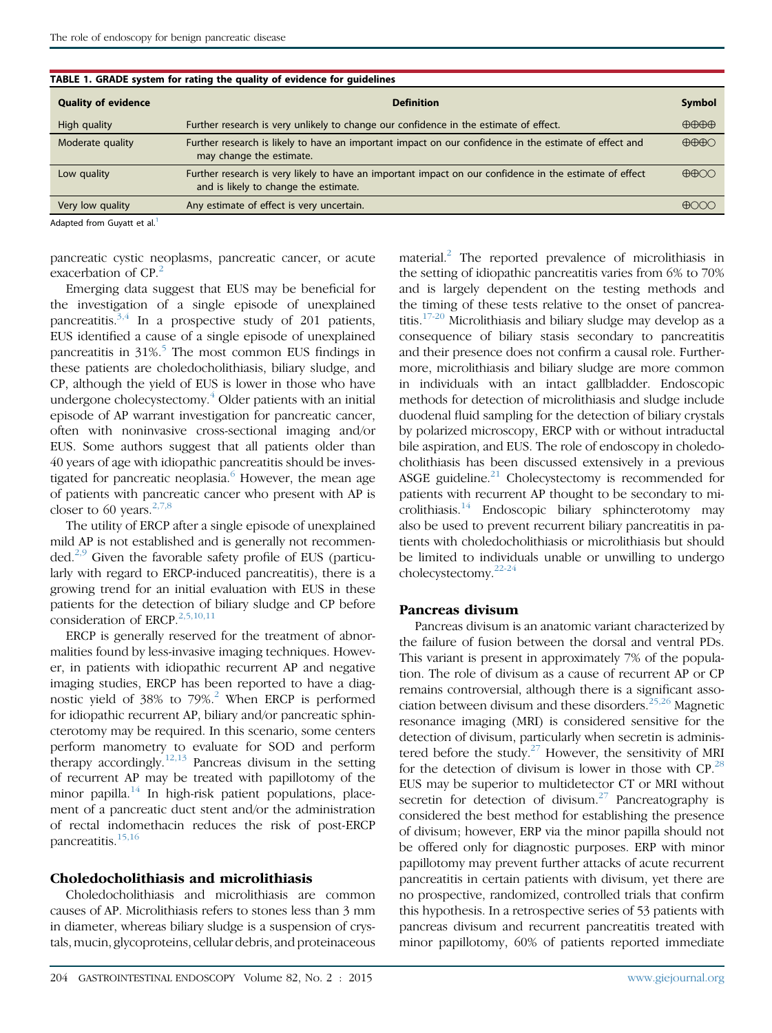| <b>Quality of evidence</b> | <b>Definition</b>                                                                                                                                | Symbol                        |
|----------------------------|--------------------------------------------------------------------------------------------------------------------------------------------------|-------------------------------|
| High quality               | Further research is very unlikely to change our confidence in the estimate of effect.                                                            | $\bigoplus\bigoplus\bigoplus$ |
| Moderate quality           | Further research is likely to have an important impact on our confidence in the estimate of effect and<br>may change the estimate.               | $\bigoplus\bigoplus\bigodot$  |
| Low quality                | Further research is very likely to have an important impact on our confidence in the estimate of effect<br>and is likely to change the estimate. | $\bigoplus$                   |
| Very low quality           | Any estimate of effect is very uncertain.                                                                                                        | $\bigoplus$                   |

#### <span id="page-1-0"></span> $T_{\text{min}}$  the quality of evidence

Adapted from Guyatt et al.<sup>[1](#page-8-0)</sup>

pancreatic cystic neoplasms, pancreatic cancer, or acute exacerbation of CP.<sup>[2](#page-8-0)</sup>

Emerging data suggest that EUS may be beneficial for the investigation of a single episode of unexplained pancreatitis.<sup>[3,4](#page-8-0)</sup> In a prospective study of 201 patients, EUS identified a cause of a single episode of unexplained pancreatitis in  $31\%$ <sup>[5](#page-8-0)</sup>. The most common EUS findings in these patients are choledocholithiasis, biliary sludge, and CP, although the yield of EUS is lower in those who have undergone cholecystectomy.<sup>[4](#page-8-0)</sup> Older patients with an initial episode of AP warrant investigation for pancreatic cancer, often with noninvasive cross-sectional imaging and/or EUS. Some authors suggest that all patients older than 40 years of age with idiopathic pancreatitis should be investigated for pancreatic neoplasia. $6$  However, the mean age of patients with pancreatic cancer who present with AP is closer to 60 years. $2,7,8$ 

The utility of ERCP after a single episode of unexplained mild AP is not established and is generally not recommended.[2,9](#page-8-0) Given the favorable safety profile of EUS (particularly with regard to ERCP-induced pancreatitis), there is a growing trend for an initial evaluation with EUS in these patients for the detection of biliary sludge and CP before consideration of ERCP.<sup>[2,5,10,11](#page-8-0)</sup>

ERCP is generally reserved for the treatment of abnormalities found by less-invasive imaging techniques. However, in patients with idiopathic recurrent AP and negative imaging studies, ERCP has been reported to have a diagnostic yield of  $38\%$  to  $79\%$ <sup>[2](#page-8-0)</sup> When ERCP is performed for idiopathic recurrent AP, biliary and/or pancreatic sphincterotomy may be required. In this scenario, some centers perform manometry to evaluate for SOD and perform therapy accordingly.[12,13](#page-8-0) Pancreas divisum in the setting of recurrent AP may be treated with papillotomy of the minor papilla. $14$  In high-risk patient populations, placement of a pancreatic duct stent and/or the administration of rectal indomethacin reduces the risk of post-ERCP pancreatitis.[15,16](#page-8-0)

#### Choledocholithiasis and microlithiasis

Choledocholithiasis and microlithiasis are common causes of AP. Microlithiasis refers to stones less than 3 mm in diameter, whereas biliary sludge is a suspension of crystals, mucin, glycoproteins, cellular debris, and proteinaceous material.<sup>[2](#page-8-0)</sup> The reported prevalence of microlithiasis in the setting of idiopathic pancreatitis varies from 6% to 70% and is largely dependent on the testing methods and the timing of these tests relative to the onset of pancreatitis.<sup>17-20</sup> Microlithiasis and biliary sludge may develop as a consequence of biliary stasis secondary to pancreatitis and their presence does not confirm a causal role. Furthermore, microlithiasis and biliary sludge are more common in individuals with an intact gallbladder. Endoscopic methods for detection of microlithiasis and sludge include duodenal fluid sampling for the detection of biliary crystals by polarized microscopy, ERCP with or without intraductal bile aspiration, and EUS. The role of endoscopy in choledocholithiasis has been discussed extensively in a previous ASGE guideline. $^{21}$  $^{21}$  $^{21}$  Cholecystectomy is recommended for patients with recurrent AP thought to be secondary to mi-crolithiasis.<sup>[14](#page-8-0)</sup> Endoscopic biliary sphincterotomy may also be used to prevent recurrent biliary pancreatitis in patients with choledocholithiasis or microlithiasis but should be limited to individuals unable or unwilling to undergo cholecystectomy.[22-24](#page-9-0)

#### Pancreas divisum

Pancreas divisum is an anatomic variant characterized by the failure of fusion between the dorsal and ventral PDs. This variant is present in approximately 7% of the population. The role of divisum as a cause of recurrent AP or CP remains controversial, although there is a significant asso-ciation between divisum and these disorders.<sup>[25,26](#page-9-0)</sup> Magnetic resonance imaging (MRI) is considered sensitive for the detection of divisum, particularly when secretin is administered before the study. $27$  However, the sensitivity of MRI for the detection of divisum is lower in those with  $CP<sup>28</sup>$  $CP<sup>28</sup>$  $CP<sup>28</sup>$ EUS may be superior to multidetector CT or MRI without secretin for detection of divisum.<sup>[27](#page-9-0)</sup> Pancreatography is considered the best method for establishing the presence of divisum; however, ERP via the minor papilla should not be offered only for diagnostic purposes. ERP with minor papillotomy may prevent further attacks of acute recurrent pancreatitis in certain patients with divisum, yet there are no prospective, randomized, controlled trials that confirm this hypothesis. In a retrospective series of 53 patients with pancreas divisum and recurrent pancreatitis treated with minor papillotomy, 60% of patients reported immediate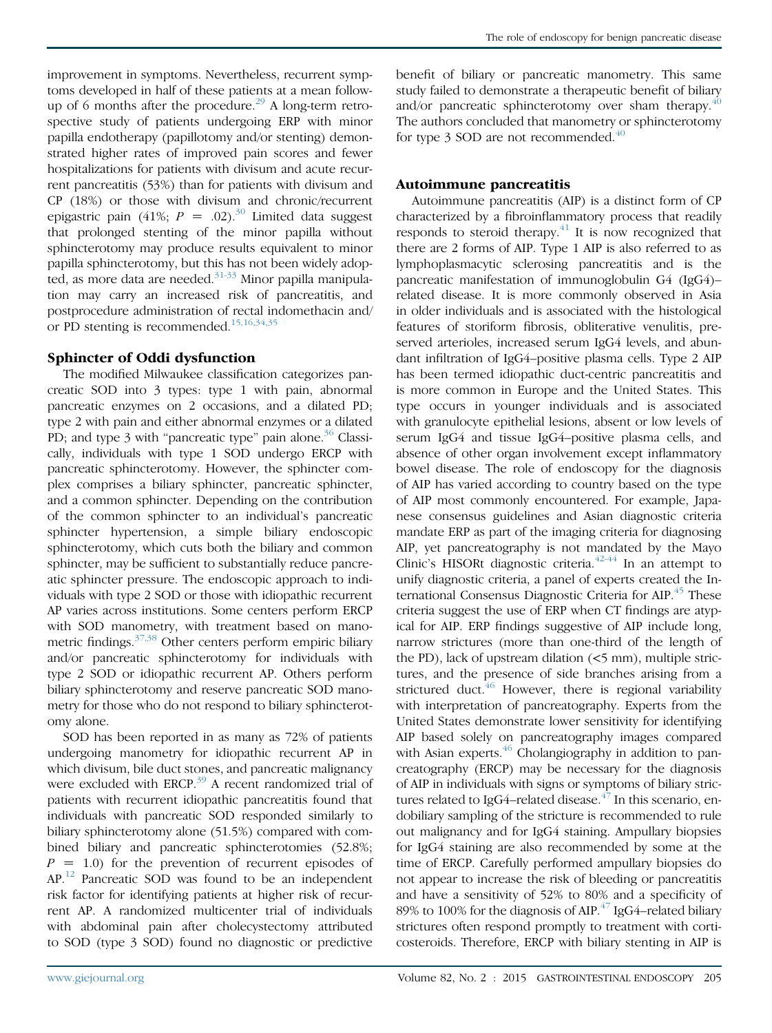improvement in symptoms. Nevertheless, recurrent symptoms developed in half of these patients at a mean follow-up of 6 months after the procedure.<sup>[29](#page-9-0)</sup> A long-term retrospective study of patients undergoing ERP with minor papilla endotherapy (papillotomy and/or stenting) demonstrated higher rates of improved pain scores and fewer hospitalizations for patients with divisum and acute recurrent pancreatitis (53%) than for patients with divisum and CP (18%) or those with divisum and chronic/recurrent epigastric pain (41%;  $P = .02$ ).<sup>[30](#page-9-0)</sup> Limited data suggest that prolonged stenting of the minor papilla without sphincterotomy may produce results equivalent to minor papilla sphincterotomy, but this has not been widely adopted, as more data are needed. $31-33$  Minor papilla manipulation may carry an increased risk of pancreatitis, and postprocedure administration of rectal indomethacin and/ or PD stenting is recommended.<sup>[15,16,34,35](#page-8-0)</sup>

# Sphincter of Oddi dysfunction

The modified Milwaukee classification categorizes pancreatic SOD into 3 types: type 1 with pain, abnormal pancreatic enzymes on 2 occasions, and a dilated PD; type 2 with pain and either abnormal enzymes or a dilated PD; and type 3 with "pancreatic type" pain alone. $36$  Classically, individuals with type 1 SOD undergo ERCP with pancreatic sphincterotomy. However, the sphincter complex comprises a biliary sphincter, pancreatic sphincter, and a common sphincter. Depending on the contribution of the common sphincter to an individual's pancreatic sphincter hypertension, a simple biliary endoscopic sphincterotomy, which cuts both the biliary and common sphincter, may be sufficient to substantially reduce pancreatic sphincter pressure. The endoscopic approach to individuals with type 2 SOD or those with idiopathic recurrent AP varies across institutions. Some centers perform ERCP with SOD manometry, with treatment based on manometric findings. $37,38$  Other centers perform empiric biliary and/or pancreatic sphincterotomy for individuals with type 2 SOD or idiopathic recurrent AP. Others perform biliary sphincterotomy and reserve pancreatic SOD manometry for those who do not respond to biliary sphincterotomy alone.

SOD has been reported in as many as 72% of patients undergoing manometry for idiopathic recurrent AP in which divisum, bile duct stones, and pancreatic malignancy were excluded with ERCP.<sup>[39](#page-9-0)</sup> A recent randomized trial of patients with recurrent idiopathic pancreatitis found that individuals with pancreatic SOD responded similarly to biliary sphincterotomy alone (51.5%) compared with combined biliary and pancreatic sphincterotomies (52.8%;  $P = 1.0$ ) for the prevention of recurrent episodes of  $AP<sup>12</sup>$  $AP<sup>12</sup>$  $AP<sup>12</sup>$  Pancreatic SOD was found to be an independent risk factor for identifying patients at higher risk of recurrent AP. A randomized multicenter trial of individuals with abdominal pain after cholecystectomy attributed to SOD (type 3 SOD) found no diagnostic or predictive

benefit of biliary or pancreatic manometry. This same study failed to demonstrate a therapeutic benefit of biliary and/or pancreatic sphincterotomy over sham therapy. $40$ The authors concluded that manometry or sphincterotomy for type  $3$  SOD are not recommended.<sup>[40](#page-9-0)</sup>

## Autoimmune pancreatitis

Autoimmune pancreatitis (AIP) is a distinct form of CP characterized by a fibroinflammatory process that readily responds to steroid therapy. $^{41}$  $^{41}$  $^{41}$  It is now recognized that there are 2 forms of AIP. Type 1 AIP is also referred to as lymphoplasmacytic sclerosing pancreatitis and is the pancreatic manifestation of immunoglobulin G4 (IgG4)– related disease. It is more commonly observed in Asia in older individuals and is associated with the histological features of storiform fibrosis, obliterative venulitis, preserved arterioles, increased serum IgG4 levels, and abundant infiltration of IgG4–positive plasma cells. Type 2 AIP has been termed idiopathic duct-centric pancreatitis and is more common in Europe and the United States. This type occurs in younger individuals and is associated with granulocyte epithelial lesions, absent or low levels of serum IgG4 and tissue IgG4–positive plasma cells, and absence of other organ involvement except inflammatory bowel disease. The role of endoscopy for the diagnosis of AIP has varied according to country based on the type of AIP most commonly encountered. For example, Japanese consensus guidelines and Asian diagnostic criteria mandate ERP as part of the imaging criteria for diagnosing AIP, yet pancreatography is not mandated by the Mayo Clinic's HISORt diagnostic criteria. $42-44$  In an attempt to unify diagnostic criteria, a panel of experts created the In-ternational Consensus Diagnostic Criteria for AIP.<sup>[45](#page-9-0)</sup> These criteria suggest the use of ERP when CT findings are atypical for AIP. ERP findings suggestive of AIP include long, narrow strictures (more than one-third of the length of the PD), lack of upstream dilation  $(<5$  mm), multiple strictures, and the presence of side branches arising from a strictured duct. $46$  However, there is regional variability with interpretation of pancreatography. Experts from the United States demonstrate lower sensitivity for identifying AIP based solely on pancreatography images compared with Asian experts.<sup>[46](#page-9-0)</sup> Cholangiography in addition to pancreatography (ERCP) may be necessary for the diagnosis of AIP in individuals with signs or symptoms of biliary strictures related to IgG4–related disease. $47$  In this scenario, endobiliary sampling of the stricture is recommended to rule out malignancy and for IgG4 staining. Ampullary biopsies for IgG4 staining are also recommended by some at the time of ERCP. Carefully performed ampullary biopsies do not appear to increase the risk of bleeding or pancreatitis and have a sensitivity of 52% to 80% and a specificity of 89% to 100% for the diagnosis of AIP. $47$  IgG4–related biliary strictures often respond promptly to treatment with corticosteroids. Therefore, ERCP with biliary stenting in AIP is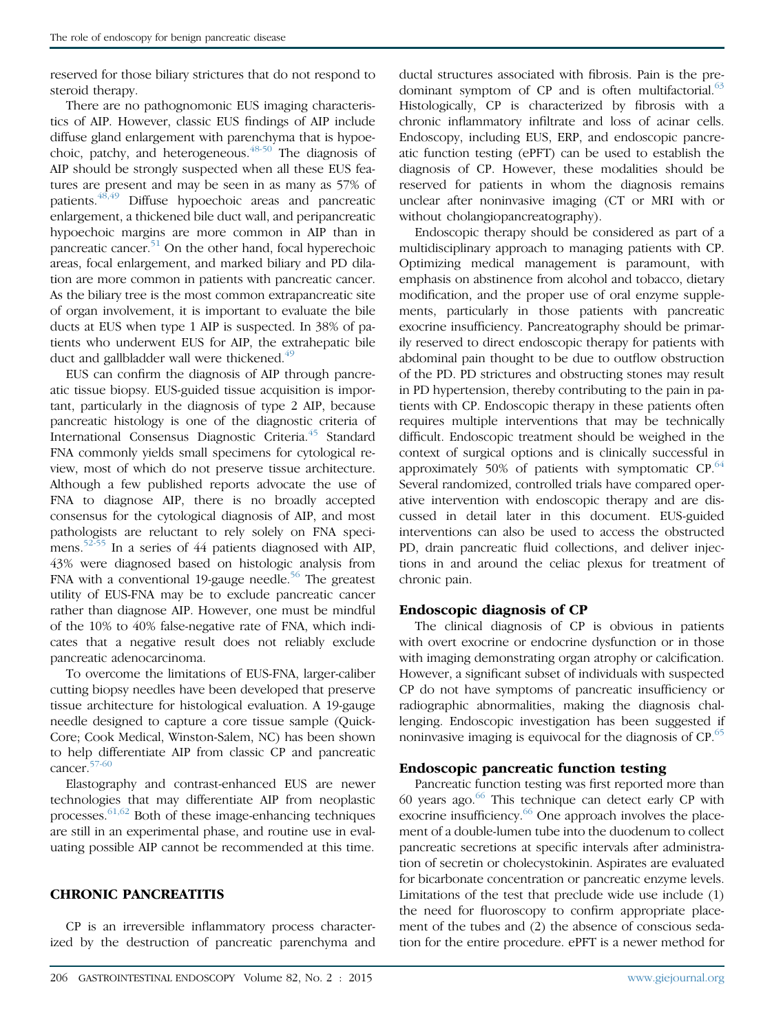reserved for those biliary strictures that do not respond to steroid therapy.

There are no pathognomonic EUS imaging characteristics of AIP. However, classic EUS findings of AIP include diffuse gland enlargement with parenchyma that is hypoechoic, patchy, and heterogeneous.[48-50](#page-9-0) The diagnosis of AIP should be strongly suspected when all these EUS features are present and may be seen in as many as 57% of patients.<sup>[48,49](#page-9-0)</sup> Diffuse hypoechoic areas and pancreatic enlargement, a thickened bile duct wall, and peripancreatic hypoechoic margins are more common in AIP than in pancreatic cancer.<sup>[51](#page-9-0)</sup> On the other hand, focal hyperechoic areas, focal enlargement, and marked biliary and PD dilation are more common in patients with pancreatic cancer. As the biliary tree is the most common extrapancreatic site of organ involvement, it is important to evaluate the bile ducts at EUS when type 1 AIP is suspected. In 38% of patients who underwent EUS for AIP, the extrahepatic bile duct and gallbladder wall were thickened.<sup>[49](#page-9-0)</sup>

EUS can confirm the diagnosis of AIP through pancreatic tissue biopsy. EUS-guided tissue acquisition is important, particularly in the diagnosis of type 2 AIP, because pancreatic histology is one of the diagnostic criteria of International Consensus Diagnostic Criteria.<sup>[45](#page-9-0)</sup> Standard FNA commonly yields small specimens for cytological review, most of which do not preserve tissue architecture. Although a few published reports advocate the use of FNA to diagnose AIP, there is no broadly accepted consensus for the cytological diagnosis of AIP, and most pathologists are reluctant to rely solely on FNA speci-mens.<sup>[52-55](#page-9-0)</sup> In a series of 44 patients diagnosed with AIP, 43% were diagnosed based on histologic analysis from FNA with a conventional 19-gauge needle.<sup>[56](#page-9-0)</sup> The greatest utility of EUS-FNA may be to exclude pancreatic cancer rather than diagnose AIP. However, one must be mindful of the 10% to 40% false-negative rate of FNA, which indicates that a negative result does not reliably exclude pancreatic adenocarcinoma.

To overcome the limitations of EUS-FNA, larger-caliber cutting biopsy needles have been developed that preserve tissue architecture for histological evaluation. A 19-gauge needle designed to capture a core tissue sample (Quick-Core; Cook Medical, Winston-Salem, NC) has been shown to help differentiate AIP from classic CP and pancreatic cancer.[57-60](#page-9-0)

Elastography and contrast-enhanced EUS are newer technologies that may differentiate AIP from neoplastic processes.<sup>[61,62](#page-9-0)</sup> Both of these image-enhancing techniques are still in an experimental phase, and routine use in evaluating possible AIP cannot be recommended at this time.

## CHRONIC PANCREATITIS

CP is an irreversible inflammatory process characterized by the destruction of pancreatic parenchyma and ductal structures associated with fibrosis. Pain is the predominant symptom of  $CP$  and is often multifactorial.<sup>[63](#page-10-0)</sup> Histologically, CP is characterized by fibrosis with a chronic inflammatory infiltrate and loss of acinar cells. Endoscopy, including EUS, ERP, and endoscopic pancreatic function testing (ePFT) can be used to establish the diagnosis of CP. However, these modalities should be reserved for patients in whom the diagnosis remains unclear after noninvasive imaging (CT or MRI with or without cholangiopancreatography).

Endoscopic therapy should be considered as part of a multidisciplinary approach to managing patients with CP. Optimizing medical management is paramount, with emphasis on abstinence from alcohol and tobacco, dietary modification, and the proper use of oral enzyme supplements, particularly in those patients with pancreatic exocrine insufficiency. Pancreatography should be primarily reserved to direct endoscopic therapy for patients with abdominal pain thought to be due to outflow obstruction of the PD. PD strictures and obstructing stones may result in PD hypertension, thereby contributing to the pain in patients with CP. Endoscopic therapy in these patients often requires multiple interventions that may be technically difficult. Endoscopic treatment should be weighed in the context of surgical options and is clinically successful in approximately 50% of patients with symptomatic  $CP$ .  $64$ Several randomized, controlled trials have compared operative intervention with endoscopic therapy and are discussed in detail later in this document. EUS-guided interventions can also be used to access the obstructed PD, drain pancreatic fluid collections, and deliver injections in and around the celiac plexus for treatment of chronic pain.

## Endoscopic diagnosis of CP

The clinical diagnosis of CP is obvious in patients with overt exocrine or endocrine dysfunction or in those with imaging demonstrating organ atrophy or calcification. However, a significant subset of individuals with suspected CP do not have symptoms of pancreatic insufficiency or radiographic abnormalities, making the diagnosis challenging. Endoscopic investigation has been suggested if noninvasive imaging is equivocal for the diagnosis of CP.<sup>[65](#page-10-0)</sup>

## Endoscopic pancreatic function testing

Pancreatic function testing was first reported more than 60 years ago. $66$  This technique can detect early CP with exocrine insufficiency. $66$  One approach involves the placement of a double-lumen tube into the duodenum to collect pancreatic secretions at specific intervals after administration of secretin or cholecystokinin. Aspirates are evaluated for bicarbonate concentration or pancreatic enzyme levels. Limitations of the test that preclude wide use include (1) the need for fluoroscopy to confirm appropriate placement of the tubes and (2) the absence of conscious sedation for the entire procedure. ePFT is a newer method for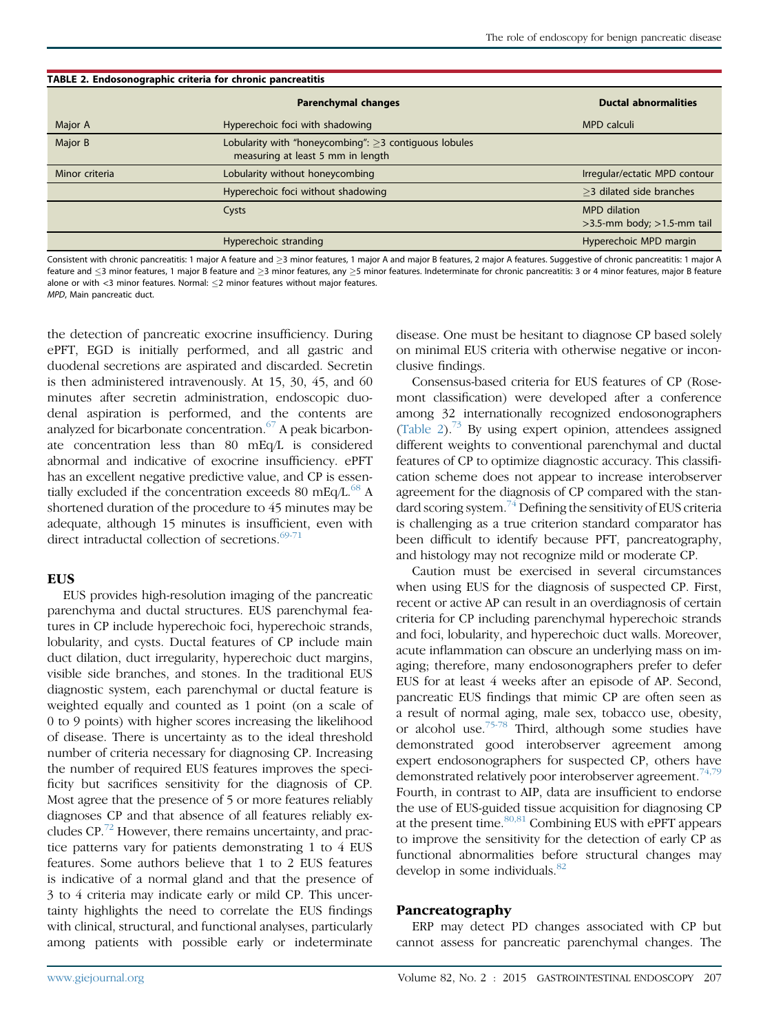| TABLE 2. Endosonographic criteria for chronic pancreatitis |                                                                                                                                                                                                                                   |  |  |
|------------------------------------------------------------|-----------------------------------------------------------------------------------------------------------------------------------------------------------------------------------------------------------------------------------|--|--|
| <b>Parenchymal changes</b>                                 | <b>Ductal abnormalities</b>                                                                                                                                                                                                       |  |  |
|                                                            | MPD calculi                                                                                                                                                                                                                       |  |  |
|                                                            |                                                                                                                                                                                                                                   |  |  |
|                                                            | Irregular/ectatic MPD contour                                                                                                                                                                                                     |  |  |
|                                                            | $>$ 3 dilated side branches                                                                                                                                                                                                       |  |  |
|                                                            | <b>MPD</b> dilation<br>$>3.5$ -mm body; $>1.5$ -mm tail                                                                                                                                                                           |  |  |
|                                                            | Hyperechoic MPD margin                                                                                                                                                                                                            |  |  |
|                                                            | Hyperechoic foci with shadowing<br>Lobularity with "honeycombing": $>3$ contiguous lobules<br>measuring at least 5 mm in length<br>Lobularity without honeycombing<br>Hyperechoic foci without shadowing<br>Hyperechoic stranding |  |  |

Consistent with chronic pancreatitis: 1 major A feature and  $\geq$ 3 minor features, 1 major A and major B features, 2 major A features. Suggestive of chronic pancreatitis: 1 major A feature and <3 minor features, 1 major B feature and ≥3 minor features, any ≥5 minor features. Indeterminate for chronic pancreatitis: 3 or 4 minor features, major B feature alone or with <3 minor features. Normal: <2 minor features without major features. MPD, Main pancreatic duct.

the detection of pancreatic exocrine insufficiency. During ePFT, EGD is initially performed, and all gastric and duodenal secretions are aspirated and discarded. Secretin is then administered intravenously. At 15, 30, 45, and 60 minutes after secretin administration, endoscopic duodenal aspiration is performed, and the contents are analyzed for bicarbonate concentration. $67$  A peak bicarbonate concentration less than 80 mEq/L is considered abnormal and indicative of exocrine insufficiency. ePFT has an excellent negative predictive value, and CP is essentially excluded if the concentration exceeds 80 mEq/L. $^{68}$  $^{68}$  $^{68}$  A shortened duration of the procedure to 45 minutes may be adequate, although 15 minutes is insufficient, even with direct intraductal collection of secretions. $69-71$ 

## EUS

EUS provides high-resolution imaging of the pancreatic parenchyma and ductal structures. EUS parenchymal features in CP include hyperechoic foci, hyperechoic strands, lobularity, and cysts. Ductal features of CP include main duct dilation, duct irregularity, hyperechoic duct margins, visible side branches, and stones. In the traditional EUS diagnostic system, each parenchymal or ductal feature is weighted equally and counted as 1 point (on a scale of 0 to 9 points) with higher scores increasing the likelihood of disease. There is uncertainty as to the ideal threshold number of criteria necessary for diagnosing CP. Increasing the number of required EUS features improves the specificity but sacrifices sensitivity for the diagnosis of CP. Most agree that the presence of 5 or more features reliably diagnoses CP and that absence of all features reliably excludes  $CP<sup>72</sup>$  $CP<sup>72</sup>$  $CP<sup>72</sup>$  However, there remains uncertainty, and practice patterns vary for patients demonstrating 1 to 4 EUS features. Some authors believe that 1 to 2 EUS features is indicative of a normal gland and that the presence of 3 to 4 criteria may indicate early or mild CP. This uncertainty highlights the need to correlate the EUS findings with clinical, structural, and functional analyses, particularly among patients with possible early or indeterminate

disease. One must be hesitant to diagnose CP based solely on minimal EUS criteria with otherwise negative or inconclusive findings.

Consensus-based criteria for EUS features of CP (Rosemont classification) were developed after a conference among 32 internationally recognized endosonographers (Table 2).<sup>73</sup> By using expert opinion, attendees assigned different weights to conventional parenchymal and ductal features of CP to optimize diagnostic accuracy. This classification scheme does not appear to increase interobserver agreement for the diagnosis of CP compared with the standard scoring system.<sup>74</sup> Defining the sensitivity of EUS criteria is challenging as a true criterion standard comparator has been difficult to identify because PFT, pancreatography, and histology may not recognize mild or moderate CP.

Caution must be exercised in several circumstances when using EUS for the diagnosis of suspected CP. First, recent or active AP can result in an overdiagnosis of certain criteria for CP including parenchymal hyperechoic strands and foci, lobularity, and hyperechoic duct walls. Moreover, acute inflammation can obscure an underlying mass on imaging; therefore, many endosonographers prefer to defer EUS for at least 4 weeks after an episode of AP. Second, pancreatic EUS findings that mimic CP are often seen as a result of normal aging, male sex, tobacco use, obesity, or alcohol use.[75-78](#page-10-0) Third, although some studies have demonstrated good interobserver agreement among expert endosonographers for suspected CP, others have demonstrated relatively poor interobserver agreement.<sup>[74,79](#page-10-0)</sup> Fourth, in contrast to AIP, data are insufficient to endorse the use of EUS-guided tissue acquisition for diagnosing CP at the present time. $80,81$  Combining EUS with ePFT appears to improve the sensitivity for the detection of early CP as functional abnormalities before structural changes may develop in some individuals. $82$ 

## Pancreatography

ERP may detect PD changes associated with CP but cannot assess for pancreatic parenchymal changes. The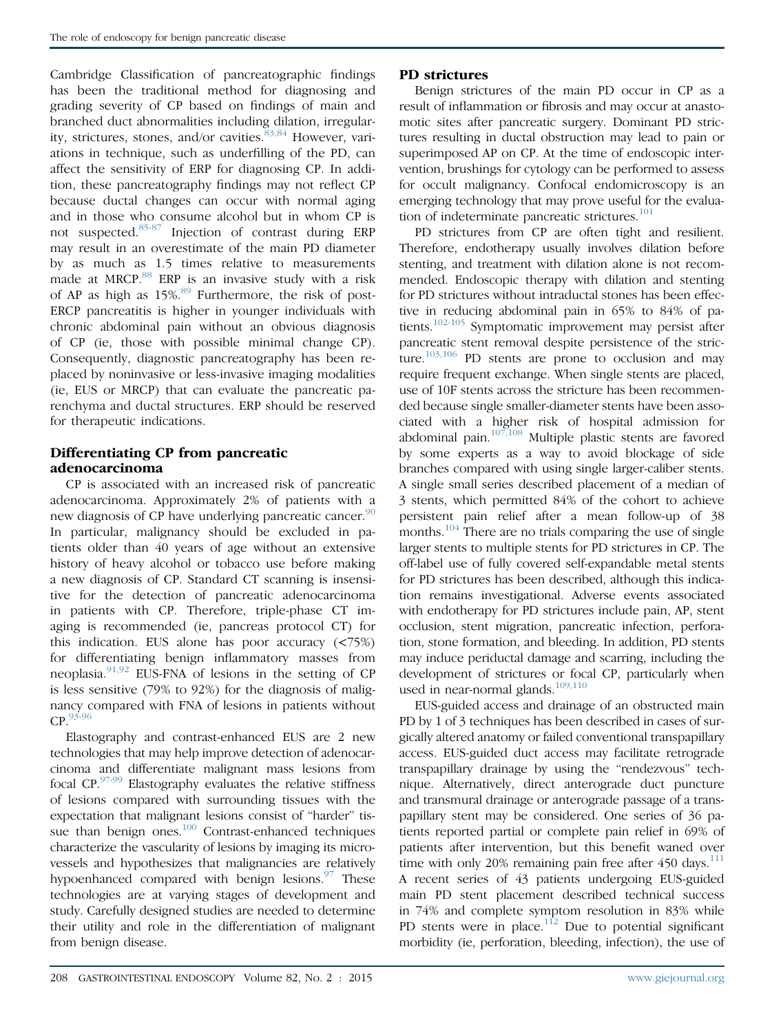Cambridge Classification of pancreatographic findings has been the traditional method for diagnosing and grading severity of CP based on findings of main and branched duct abnormalities including dilation, irregular-ity, strictures, stones, and/or cavities.<sup>[83,84](#page-10-0)</sup> However, variations in technique, such as underfilling of the PD, can affect the sensitivity of ERP for diagnosing CP. In addition, these pancreatography findings may not reflect CP because ductal changes can occur with normal aging and in those who consume alcohol but in whom CP is not suspected.[85-87](#page-10-0) Injection of contrast during ERP may result in an overestimate of the main PD diameter by as much as 1.5 times relative to measurements made at MRCP.<sup>[88](#page-10-0)</sup> ERP is an invasive study with a risk of AP as high as  $15\%$ .<sup>[89](#page-10-0)</sup> Furthermore, the risk of post-ERCP pancreatitis is higher in younger individuals with chronic abdominal pain without an obvious diagnosis of CP (ie, those with possible minimal change CP). Consequently, diagnostic pancreatography has been replaced by noninvasive or less-invasive imaging modalities (ie, EUS or MRCP) that can evaluate the pancreatic parenchyma and ductal structures. ERP should be reserved for therapeutic indications.

# Differentiating CP from pancreatic adenocarcinoma

CP is associated with an increased risk of pancreatic adenocarcinoma. Approximately 2% of patients with a new diagnosis of CP have underlying pancreatic cancer.<sup>90</sup> In particular, malignancy should be excluded in patients older than 40 years of age without an extensive history of heavy alcohol or tobacco use before making a new diagnosis of CP. Standard CT scanning is insensitive for the detection of pancreatic adenocarcinoma in patients with CP. Therefore, triple-phase CT imaging is recommended (ie, pancreas protocol CT) for this indication. EUS alone has poor accuracy (<75%) for differentiating benign inflammatory masses from neoplasia.[91,92](#page-10-0) EUS-FNA of lesions in the setting of CP is less sensitive (79% to 92%) for the diagnosis of malignancy compared with FNA of lesions in patients without  $CP.93-96$  $CP.93-96$ 

Elastography and contrast-enhanced EUS are 2 new technologies that may help improve detection of adenocarcinoma and differentiate malignant mass lesions from focal  $CP$ <sup>[97-99](#page-10-0)</sup> Elastography evaluates the relative stiffness of lesions compared with surrounding tissues with the expectation that malignant lesions consist of "harder" tis-sue than benign ones.<sup>[100](#page-10-0)</sup> Contrast-enhanced techniques characterize the vascularity of lesions by imaging its microvessels and hypothesizes that malignancies are relatively hypoenhanced compared with benign lesions. $97$  These technologies are at varying stages of development and study. Carefully designed studies are needed to determine their utility and role in the differentiation of malignant from benign disease.

## PD strictures

Benign strictures of the main PD occur in CP as a result of inflammation or fibrosis and may occur at anastomotic sites after pancreatic surgery. Dominant PD strictures resulting in ductal obstruction may lead to pain or superimposed AP on CP. At the time of endoscopic intervention, brushings for cytology can be performed to assess for occult malignancy. Confocal endomicroscopy is an emerging technology that may prove useful for the evalua-tion of indeterminate pancreatic strictures.<sup>[101](#page-10-0)</sup>

PD strictures from CP are often tight and resilient. Therefore, endotherapy usually involves dilation before stenting, and treatment with dilation alone is not recommended. Endoscopic therapy with dilation and stenting for PD strictures without intraductal stones has been effective in reducing abdominal pain in 65% to 84% of pa-tients.<sup>[102-105](#page-10-0)</sup> Symptomatic improvement may persist after pancreatic stent removal despite persistence of the stric-ture.<sup>[103,106](#page-10-0)</sup> PD stents are prone to occlusion and may require frequent exchange. When single stents are placed, use of 10F stents across the stricture has been recommended because single smaller-diameter stents have been associated with a higher risk of hospital admission for abdominal pain. $107,108$  Multiple plastic stents are favored by some experts as a way to avoid blockage of side branches compared with using single larger-caliber stents. A single small series described placement of a median of 3 stents, which permitted 84% of the cohort to achieve persistent pain relief after a mean follow-up of 38 months.<sup>[104](#page-10-0)</sup> There are no trials comparing the use of single larger stents to multiple stents for PD strictures in CP. The off-label use of fully covered self-expandable metal stents for PD strictures has been described, although this indication remains investigational. Adverse events associated with endotherapy for PD strictures include pain, AP, stent occlusion, stent migration, pancreatic infection, perforation, stone formation, and bleeding. In addition, PD stents may induce periductal damage and scarring, including the development of strictures or focal CP, particularly when used in near-normal glands.<sup>[109,110](#page-11-0)</sup>

EUS-guided access and drainage of an obstructed main PD by 1 of 3 techniques has been described in cases of surgically altered anatomy or failed conventional transpapillary access. EUS-guided duct access may facilitate retrograde transpapillary drainage by using the "rendezvous" technique. Alternatively, direct anterograde duct puncture and transmural drainage or anterograde passage of a transpapillary stent may be considered. One series of 36 patients reported partial or complete pain relief in 69% of patients after intervention, but this benefit waned over time with only 20% remaining pain free after  $450 \text{ days}$ .<sup>[111](#page-11-0)</sup> A recent series of 43 patients undergoing EUS-guided main PD stent placement described technical success in 74% and complete symptom resolution in 83% while PD stents were in place. $112$  Due to potential significant morbidity (ie, perforation, bleeding, infection), the use of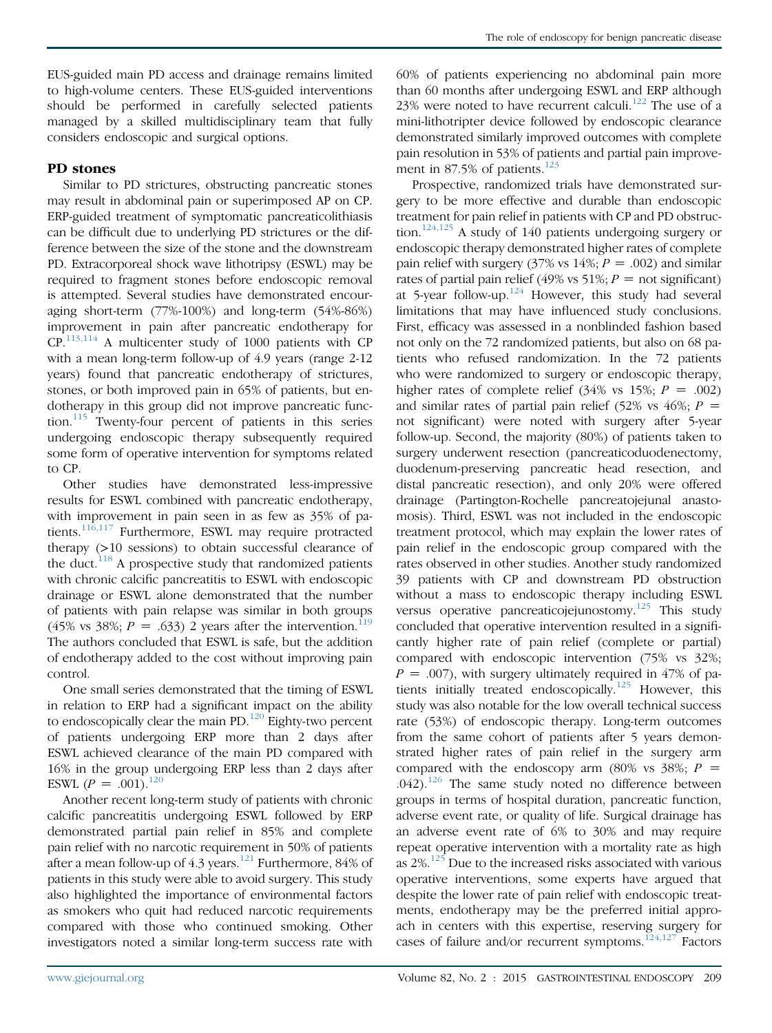EUS-guided main PD access and drainage remains limited to high-volume centers. These EUS-guided interventions should be performed in carefully selected patients managed by a skilled multidisciplinary team that fully considers endoscopic and surgical options.

#### PD stones

Similar to PD strictures, obstructing pancreatic stones may result in abdominal pain or superimposed AP on CP. ERP-guided treatment of symptomatic pancreaticolithiasis can be difficult due to underlying PD strictures or the difference between the size of the stone and the downstream PD. Extracorporeal shock wave lithotripsy (ESWL) may be required to fragment stones before endoscopic removal is attempted. Several studies have demonstrated encouraging short-term (77%-100%) and long-term (54%-86%) improvement in pain after pancreatic endotherapy for  $CP$ <sup>[113,114](#page-11-0)</sup> A multicenter study of 1000 patients with CP with a mean long-term follow-up of 4.9 years (range 2-12 years) found that pancreatic endotherapy of strictures, stones, or both improved pain in 65% of patients, but endotherapy in this group did not improve pancreatic function.[115](#page-11-0) Twenty-four percent of patients in this series undergoing endoscopic therapy subsequently required some form of operative intervention for symptoms related to CP.

Other studies have demonstrated less-impressive results for ESWL combined with pancreatic endotherapy, with improvement in pain seen in as few as 35% of pa-tients.<sup>[116,117](#page-11-0)</sup> Furthermore, ESWL may require protracted therapy (>10 sessions) to obtain successful clearance of the duct.<sup>[118](#page-11-0)</sup> A prospective study that randomized patients with chronic calcific pancreatitis to ESWL with endoscopic drainage or ESWL alone demonstrated that the number of patients with pain relapse was similar in both groups (45% vs 38%;  $P = .633$ ) 2 years after the intervention.<sup>[119](#page-11-0)</sup> The authors concluded that ESWL is safe, but the addition of endotherapy added to the cost without improving pain control.

One small series demonstrated that the timing of ESWL in relation to ERP had a significant impact on the ability to endoscopically clear the main PD. $^{120}$  $^{120}$  $^{120}$  Eighty-two percent of patients undergoing ERP more than 2 days after ESWL achieved clearance of the main PD compared with 16% in the group undergoing ERP less than 2 days after ESWL  $(P = .001)$ .<sup>[120](#page-11-0)</sup>

Another recent long-term study of patients with chronic calcific pancreatitis undergoing ESWL followed by ERP demonstrated partial pain relief in 85% and complete pain relief with no narcotic requirement in 50% of patients after a mean follow-up of  $4.3$  years.<sup>[121](#page-11-0)</sup> Furthermore,  $84\%$  of patients in this study were able to avoid surgery. This study also highlighted the importance of environmental factors as smokers who quit had reduced narcotic requirements compared with those who continued smoking. Other investigators noted a similar long-term success rate with

60% of patients experiencing no abdominal pain more than 60 months after undergoing ESWL and ERP although 23% were noted to have recurrent calculi.<sup>[122](#page-11-0)</sup> The use of a mini-lithotripter device followed by endoscopic clearance demonstrated similarly improved outcomes with complete pain resolution in 53% of patients and partial pain improvement in 87.5% of patients. $^{123}$  $^{123}$  $^{123}$ 

Prospective, randomized trials have demonstrated surgery to be more effective and durable than endoscopic treatment for pain relief in patients with CP and PD obstruc-tion.<sup>[124,125](#page-11-0)</sup> A study of 140 patients undergoing surgery or endoscopic therapy demonstrated higher rates of complete pain relief with surgery (37% vs  $14\%; P = .002$ ) and similar rates of partial pain relief (49% vs 51%;  $P =$  not significant) at 5-year follow-up.[124](#page-11-0) However, this study had several limitations that may have influenced study conclusions. First, efficacy was assessed in a nonblinded fashion based not only on the 72 randomized patients, but also on 68 patients who refused randomization. In the 72 patients who were randomized to surgery or endoscopic therapy, higher rates of complete relief (34% vs 15%;  $P = .002$ ) and similar rates of partial pain relief (52% vs  $46\%$ ;  $P =$ not significant) were noted with surgery after 5-year follow-up. Second, the majority (80%) of patients taken to surgery underwent resection (pancreaticoduodenectomy, duodenum-preserving pancreatic head resection, and distal pancreatic resection), and only 20% were offered drainage (Partington-Rochelle pancreatojejunal anastomosis). Third, ESWL was not included in the endoscopic treatment protocol, which may explain the lower rates of pain relief in the endoscopic group compared with the rates observed in other studies. Another study randomized 39 patients with CP and downstream PD obstruction without a mass to endoscopic therapy including ESWL versus operative pancreaticojejunostomy.<sup>[125](#page-11-0)</sup> This study concluded that operative intervention resulted in a significantly higher rate of pain relief (complete or partial) compared with endoscopic intervention (75% vs 32%;  $P = .007$ , with surgery ultimately required in 47% of pa-tients initially treated endoscopically.<sup>[125](#page-11-0)</sup> However, this study was also notable for the low overall technical success rate (53%) of endoscopic therapy. Long-term outcomes from the same cohort of patients after 5 years demonstrated higher rates of pain relief in the surgery arm compared with the endoscopy arm (80% vs 38%;  $P =$ .042). $126$  The same study noted no difference between groups in terms of hospital duration, pancreatic function, adverse event rate, or quality of life. Surgical drainage has an adverse event rate of 6% to 30% and may require repeat operative intervention with a mortality rate as high as 2%.<sup>[125](#page-11-0)</sup> Due to the increased risks associated with various operative interventions, some experts have argued that despite the lower rate of pain relief with endoscopic treatments, endotherapy may be the preferred initial approach in centers with this expertise, reserving surgery for cases of failure and/or recurrent symptoms. $^{124,127}$  $^{124,127}$  $^{124,127}$  Factors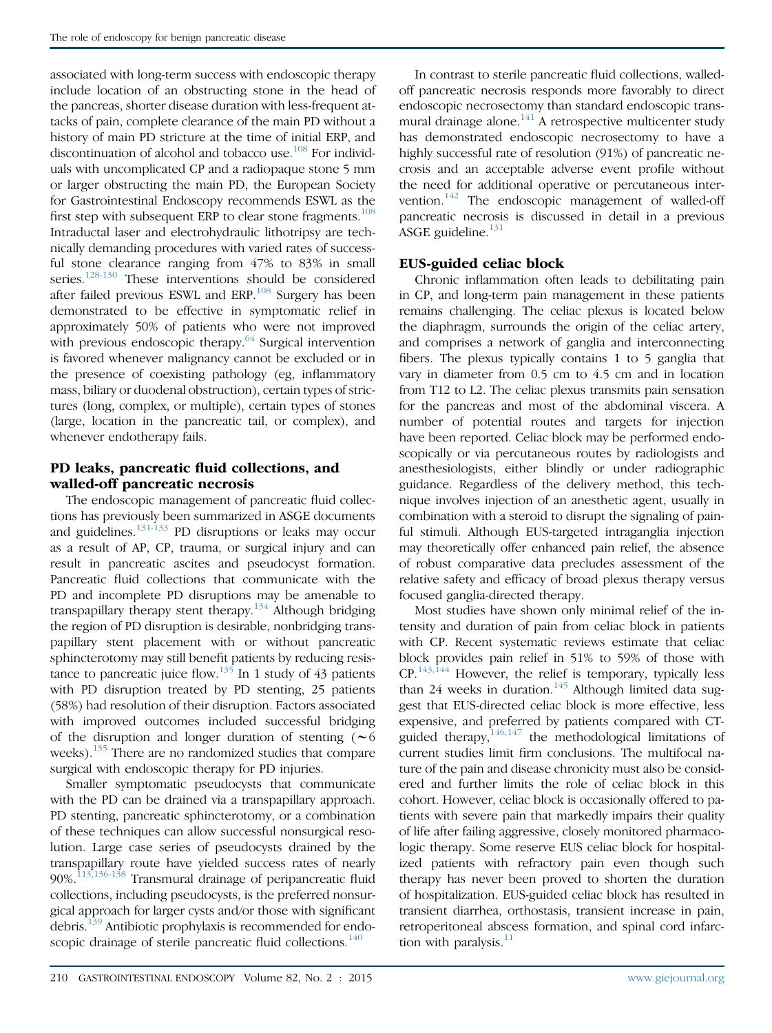associated with long-term success with endoscopic therapy include location of an obstructing stone in the head of the pancreas, shorter disease duration with less-frequent attacks of pain, complete clearance of the main PD without a history of main PD stricture at the time of initial ERP, and discontinuation of alcohol and tobacco use.<sup>[108](#page-11-0)</sup> For individuals with uncomplicated CP and a radiopaque stone 5 mm or larger obstructing the main PD, the European Society for Gastrointestinal Endoscopy recommends ESWL as the first step with subsequent ERP to clear stone fragments.<sup>[108](#page-11-0)</sup> Intraductal laser and electrohydraulic lithotripsy are technically demanding procedures with varied rates of successful stone clearance ranging from 47% to 83% in small series.<sup>128-130</sup> These interventions should be considered after failed previous ESWL and ERP.<sup>[108](#page-11-0)</sup> Surgery has been demonstrated to be effective in symptomatic relief in approximately 50% of patients who were not improved with previous endoscopic therapy.<sup>[64](#page-10-0)</sup> Surgical intervention is favored whenever malignancy cannot be excluded or in the presence of coexisting pathology (eg, inflammatory mass, biliary or duodenal obstruction), certain types of strictures (long, complex, or multiple), certain types of stones (large, location in the pancreatic tail, or complex), and whenever endotherapy fails.

# PD leaks, pancreatic fluid collections, and walled-off pancreatic necrosis

The endoscopic management of pancreatic fluid collections has previously been summarized in ASGE documents and guidelines. $131-133$  PD disruptions or leaks may occur as a result of AP, CP, trauma, or surgical injury and can result in pancreatic ascites and pseudocyst formation. Pancreatic fluid collections that communicate with the PD and incomplete PD disruptions may be amenable to transpapillary therapy stent therapy.<sup>[134](#page-11-0)</sup> Although bridging the region of PD disruption is desirable, nonbridging transpapillary stent placement with or without pancreatic sphincterotomy may still benefit patients by reducing resis-tance to pancreatic juice flow.<sup>[135](#page-11-0)</sup> In 1 study of 43 patients with PD disruption treated by PD stenting, 25 patients (58%) had resolution of their disruption. Factors associated with improved outcomes included successful bridging of the disruption and longer duration of stenting  $(\sim 6$ weeks).<sup>[135](#page-11-0)</sup> There are no randomized studies that compare surgical with endoscopic therapy for PD injuries.

Smaller symptomatic pseudocysts that communicate with the PD can be drained via a transpapillary approach. PD stenting, pancreatic sphincterotomy, or a combination of these techniques can allow successful nonsurgical resolution. Large case series of pseudocysts drained by the transpapillary route have yielded success rates of nearly 90%.<sup>[113,136-138](#page-11-0)</sup> Transmural drainage of peripancreatic fluid collections, including pseudocysts, is the preferred nonsurgical approach for larger cysts and/or those with significant debris.<sup>[139](#page-11-0)</sup> Antibiotic prophylaxis is recommended for endo-scopic drainage of sterile pancreatic fluid collections.<sup>[140](#page-11-0)</sup>

In contrast to sterile pancreatic fluid collections, walledoff pancreatic necrosis responds more favorably to direct endoscopic necrosectomy than standard endoscopic transmural drainage alone. $141$  A retrospective multicenter study has demonstrated endoscopic necrosectomy to have a highly successful rate of resolution (91%) of pancreatic necrosis and an acceptable adverse event profile without the need for additional operative or percutaneous intervention.[142](#page-11-0) The endoscopic management of walled-off pancreatic necrosis is discussed in detail in a previous ASGE guideline. $131$ 

# EUS-guided celiac block

Chronic inflammation often leads to debilitating pain in CP, and long-term pain management in these patients remains challenging. The celiac plexus is located below the diaphragm, surrounds the origin of the celiac artery, and comprises a network of ganglia and interconnecting fibers. The plexus typically contains 1 to 5 ganglia that vary in diameter from 0.5 cm to 4.5 cm and in location from T12 to L2. The celiac plexus transmits pain sensation for the pancreas and most of the abdominal viscera. A number of potential routes and targets for injection have been reported. Celiac block may be performed endoscopically or via percutaneous routes by radiologists and anesthesiologists, either blindly or under radiographic guidance. Regardless of the delivery method, this technique involves injection of an anesthetic agent, usually in combination with a steroid to disrupt the signaling of painful stimuli. Although EUS-targeted intraganglia injection may theoretically offer enhanced pain relief, the absence of robust comparative data precludes assessment of the relative safety and efficacy of broad plexus therapy versus focused ganglia-directed therapy.

Most studies have shown only minimal relief of the intensity and duration of pain from celiac block in patients with CP. Recent systematic reviews estimate that celiac block provides pain relief in 51% to 59% of those with  $CP$ <sup> $143,144$ </sup> However, the relief is temporary, typically less than 24 weeks in duration.<sup>[145](#page-11-0)</sup> Although limited data suggest that EUS-directed celiac block is more effective, less expensive, and preferred by patients compared with CTguided therapy, $146,147$  the methodological limitations of current studies limit firm conclusions. The multifocal nature of the pain and disease chronicity must also be considered and further limits the role of celiac block in this cohort. However, celiac block is occasionally offered to patients with severe pain that markedly impairs their quality of life after failing aggressive, closely monitored pharmacologic therapy. Some reserve EUS celiac block for hospitalized patients with refractory pain even though such therapy has never been proved to shorten the duration of hospitalization. EUS-guided celiac block has resulted in transient diarrhea, orthostasis, transient increase in pain, retroperitoneal abscess formation, and spinal cord infarction with paralysis. $11$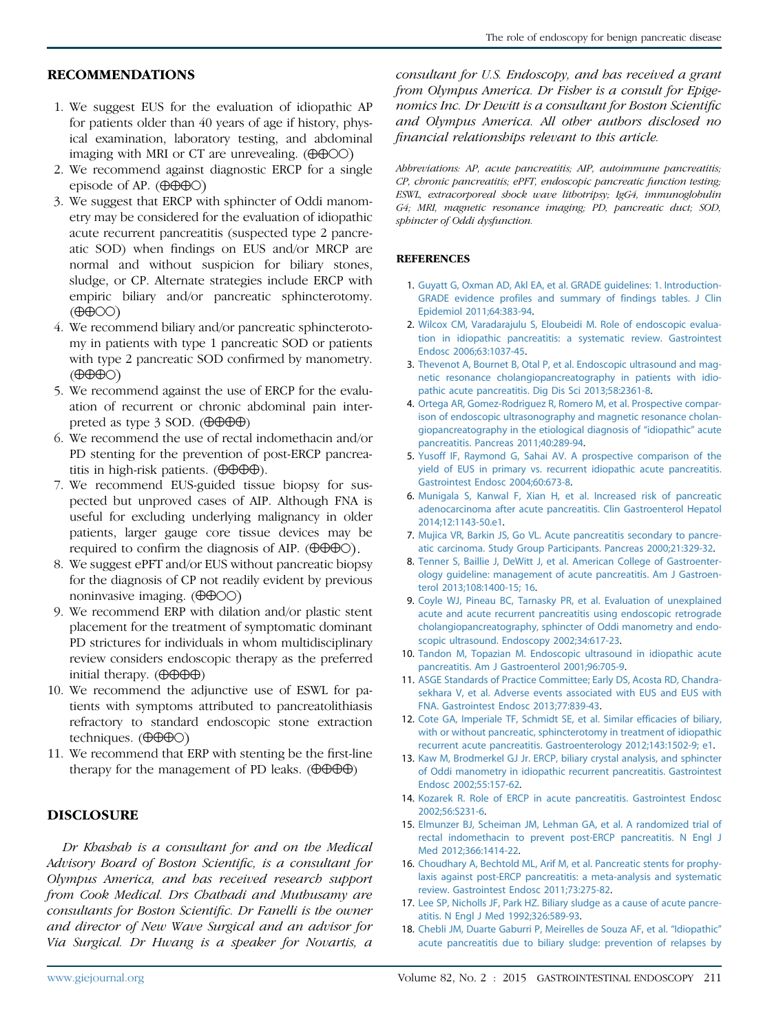# <span id="page-8-0"></span>RECOMMENDATIONS

- 1. We suggest EUS for the evaluation of idiopathic AP for patients older than 40 years of age if history, physical examination, laboratory testing, and abdominal imaging with MRI or CT are unrevealing.  $(\bigoplus \bigoplus O\bigodot)$
- 2. We recommend against diagnostic ERCP for a single episode of AP.  $(\oplus \oplus \oplus \odot)$
- 3. We suggest that ERCP with sphincter of Oddi manometry may be considered for the evaluation of idiopathic acute recurrent pancreatitis (suspected type 2 pancreatic SOD) when findings on EUS and/or MRCP are normal and without suspicion for biliary stones, sludge, or CP. Alternate strategies include ERCP with empiric biliary and/or pancreatic sphincterotomy.  $(\oplus \oplus \odot \odot)$
- 4. We recommend biliary and/or pancreatic sphincterotomy in patients with type 1 pancreatic SOD or patients with type 2 pancreatic SOD confirmed by manometry.  $(\oplus \oplus \oplus \odot)$
- 5. We recommend against the use of ERCP for the evaluation of recurrent or chronic abdominal pain interpreted as type 3 SOD.  $(\oplus \oplus \oplus \oplus)$
- 6. We recommend the use of rectal indomethacin and/or PD stenting for the prevention of post-ERCP pancreatitis in high-risk patients.  $(\oplus \oplus \oplus \oplus)$ .
- 7. We recommend EUS-guided tissue biopsy for suspected but unproved cases of AIP. Although FNA is useful for excluding underlying malignancy in older patients, larger gauge core tissue devices may be required to confirm the diagnosis of AIP.  $(\oplus \oplus \oplus \odot)$ .
- 8. We suggest ePFT and/or EUS without pancreatic biopsy for the diagnosis of CP not readily evident by previous noninvasive imaging.  $(\theta \theta \theta \circ \theta)$
- 9. We recommend ERP with dilation and/or plastic stent placement for the treatment of symptomatic dominant PD strictures for individuals in whom multidisciplinary review considers endoscopic therapy as the preferred initial therapy.  $(\oplus \oplus \oplus \oplus)$
- 10. We recommend the adjunctive use of ESWL for patients with symptoms attributed to pancreatolithiasis refractory to standard endoscopic stone extraction techniques.  $(\oplus \oplus \oplus \odot)$
- 11. We recommend that ERP with stenting be the first-line therapy for the management of PD leaks.  $(\theta \theta \theta \theta)$

#### DISCLOSURE

Dr Khashab is a consultant for and on the Medical Advisory Board of Boston Scientific, is a consultant for Olympus America, and has received research support from Cook Medical. Drs Chathadi and Muthusamy are consultants for Boston Scientific. Dr Fanelli is the owner and director of New Wave Surgical and an advisor for Via Surgical. Dr Hwang is a speaker for Novartis, a

consultant for U.S. Endoscopy, and has received a grant from Olympus America. Dr Fisher is a consult for Epigenomics Inc. Dr Dewitt is a consultant for Boston Scientific and Olympus America. All other authors disclosed no financial relationships relevant to this article.

Abbreviations: AP, acute pancreatitis; AIP, autoimmune pancreatitis; CP, chronic pancreatitis; ePFT, endoscopic pancreatic function testing; ESWL, extracorporeal shock wave lithotripsy; IgG4, immunoglobulin G4; MRI, magnetic resonance imaging; PD, pancreatic duct; SOD, sphincter of Oddi dysfunction.

#### **REFERENCES**

- 1. [Guyatt G, Oxman AD, Akl EA, et al. GRADE guidelines: 1. Introduction-](http://refhub.elsevier.com/S0016-5107(15)02381-0/sref1)[GRADE evidence profiles and summary of findings tables. J Clin](http://refhub.elsevier.com/S0016-5107(15)02381-0/sref1) [Epidemiol 2011;64:383-94](http://refhub.elsevier.com/S0016-5107(15)02381-0/sref1).
- 2. [Wilcox CM, Varadarajulu S, Eloubeidi M. Role of endoscopic evalua](http://refhub.elsevier.com/S0016-5107(15)02381-0/sref2)[tion in idiopathic pancreatitis: a systematic review. Gastrointest](http://refhub.elsevier.com/S0016-5107(15)02381-0/sref2) [Endosc 2006;63:1037-45.](http://refhub.elsevier.com/S0016-5107(15)02381-0/sref2)
- 3. [Thevenot A, Bournet B, Otal P, et al. Endoscopic ultrasound and mag](http://refhub.elsevier.com/S0016-5107(15)02381-0/sref3)[netic resonance cholangiopancreatography in patients with idio](http://refhub.elsevier.com/S0016-5107(15)02381-0/sref3)[pathic acute pancreatitis. Dig Dis Sci 2013;58:2361-8](http://refhub.elsevier.com/S0016-5107(15)02381-0/sref3).
- 4. [Ortega AR, Gomez-Rodriguez R, Romero M, et al. Prospective compar](http://refhub.elsevier.com/S0016-5107(15)02381-0/sref4)[ison of endoscopic ultrasonography and magnetic resonance cholan](http://refhub.elsevier.com/S0016-5107(15)02381-0/sref4)[giopancreatography in the etiological diagnosis of](http://refhub.elsevier.com/S0016-5107(15)02381-0/sref4) "idiopathic" acute [pancreatitis. Pancreas 2011;40:289-94](http://refhub.elsevier.com/S0016-5107(15)02381-0/sref4).
- 5. [Yusoff IF, Raymond G, Sahai AV. A prospective comparison of the](http://refhub.elsevier.com/S0016-5107(15)02381-0/sref5) [yield of EUS in primary vs. recurrent idiopathic acute pancreatitis.](http://refhub.elsevier.com/S0016-5107(15)02381-0/sref5) [Gastrointest Endosc 2004;60:673-8](http://refhub.elsevier.com/S0016-5107(15)02381-0/sref5).
- 6. [Munigala S, Kanwal F, Xian H, et al. Increased risk of pancreatic](http://refhub.elsevier.com/S0016-5107(15)02381-0/sref6) [adenocarcinoma after acute pancreatitis. Clin Gastroenterol Hepatol](http://refhub.elsevier.com/S0016-5107(15)02381-0/sref6) [2014;12:1143-50.e1.](http://refhub.elsevier.com/S0016-5107(15)02381-0/sref6)
- 7. [Mujica VR, Barkin JS, Go VL. Acute pancreatitis secondary to pancre](http://refhub.elsevier.com/S0016-5107(15)02381-0/sref7)[atic carcinoma. Study Group Participants. Pancreas 2000;21:329-32.](http://refhub.elsevier.com/S0016-5107(15)02381-0/sref7)
- 8. [Tenner S, Baillie J, DeWitt J, et al. American College of Gastroenter](http://refhub.elsevier.com/S0016-5107(15)02381-0/sref8)[ology guideline: management of acute pancreatitis. Am J Gastroen](http://refhub.elsevier.com/S0016-5107(15)02381-0/sref8)[terol 2013;108:1400-15; 16.](http://refhub.elsevier.com/S0016-5107(15)02381-0/sref8)
- 9. [Coyle WJ, Pineau BC, Tarnasky PR, et al. Evaluation of unexplained](http://refhub.elsevier.com/S0016-5107(15)02381-0/sref9) [acute and acute recurrent pancreatitis using endoscopic retrograde](http://refhub.elsevier.com/S0016-5107(15)02381-0/sref9) [cholangiopancreatography, sphincter of Oddi manometry and endo](http://refhub.elsevier.com/S0016-5107(15)02381-0/sref9)[scopic ultrasound. Endoscopy 2002;34:617-23.](http://refhub.elsevier.com/S0016-5107(15)02381-0/sref9)
- 10. [Tandon M, Topazian M. Endoscopic ultrasound in idiopathic acute](http://refhub.elsevier.com/S0016-5107(15)02381-0/sref10) [pancreatitis. Am J Gastroenterol 2001;96:705-9](http://refhub.elsevier.com/S0016-5107(15)02381-0/sref10).
- 11. [ASGE Standards of Practice Committee; Early DS, Acosta RD, Chandra](http://refhub.elsevier.com/S0016-5107(15)02381-0/sref11)[sekhara V, et al. Adverse events associated with EUS and EUS with](http://refhub.elsevier.com/S0016-5107(15)02381-0/sref11) [FNA. Gastrointest Endosc 2013;77:839-43](http://refhub.elsevier.com/S0016-5107(15)02381-0/sref11).
- 12. [Cote GA, Imperiale TF, Schmidt SE, et al. Similar efficacies of biliary,](http://refhub.elsevier.com/S0016-5107(15)02381-0/sref12) [with or without pancreatic, sphincterotomy in treatment of idiopathic](http://refhub.elsevier.com/S0016-5107(15)02381-0/sref12) [recurrent acute pancreatitis. Gastroenterology 2012;143:1502-9; e1.](http://refhub.elsevier.com/S0016-5107(15)02381-0/sref12)
- 13. [Kaw M, Brodmerkel GJ Jr. ERCP, biliary crystal analysis, and sphincter](http://refhub.elsevier.com/S0016-5107(15)02381-0/sref13) [of Oddi manometry in idiopathic recurrent pancreatitis. Gastrointest](http://refhub.elsevier.com/S0016-5107(15)02381-0/sref13) [Endosc 2002;55:157-62.](http://refhub.elsevier.com/S0016-5107(15)02381-0/sref13)
- 14. [Kozarek R. Role of ERCP in acute pancreatitis. Gastrointest Endosc](http://refhub.elsevier.com/S0016-5107(15)02381-0/sref14) [2002;56:S231-6](http://refhub.elsevier.com/S0016-5107(15)02381-0/sref14).
- 15. [Elmunzer BJ, Scheiman JM, Lehman GA, et al. A randomized trial of](http://refhub.elsevier.com/S0016-5107(15)02381-0/sref15) [rectal indomethacin to prevent post-ERCP pancreatitis. N Engl J](http://refhub.elsevier.com/S0016-5107(15)02381-0/sref15) [Med 2012;366:1414-22.](http://refhub.elsevier.com/S0016-5107(15)02381-0/sref15)
- 16. [Choudhary A, Bechtold ML, Arif M, et al. Pancreatic stents for prophy](http://refhub.elsevier.com/S0016-5107(15)02381-0/sref16)[laxis against post-ERCP pancreatitis: a meta-analysis and systematic](http://refhub.elsevier.com/S0016-5107(15)02381-0/sref16) [review. Gastrointest Endosc 2011;73:275-82.](http://refhub.elsevier.com/S0016-5107(15)02381-0/sref16)
- 17. [Lee SP, Nicholls JF, Park HZ. Biliary sludge as a cause of acute pancre](http://refhub.elsevier.com/S0016-5107(15)02381-0/sref17)[atitis. N Engl J Med 1992;326:589-93](http://refhub.elsevier.com/S0016-5107(15)02381-0/sref17).
- 18. [Chebli JM, Duarte Gaburri P, Meirelles de Souza AF, et al.](http://refhub.elsevier.com/S0016-5107(15)02381-0/sref18) "Idiopathic" [acute pancreatitis due to biliary sludge: prevention of relapses by](http://refhub.elsevier.com/S0016-5107(15)02381-0/sref18)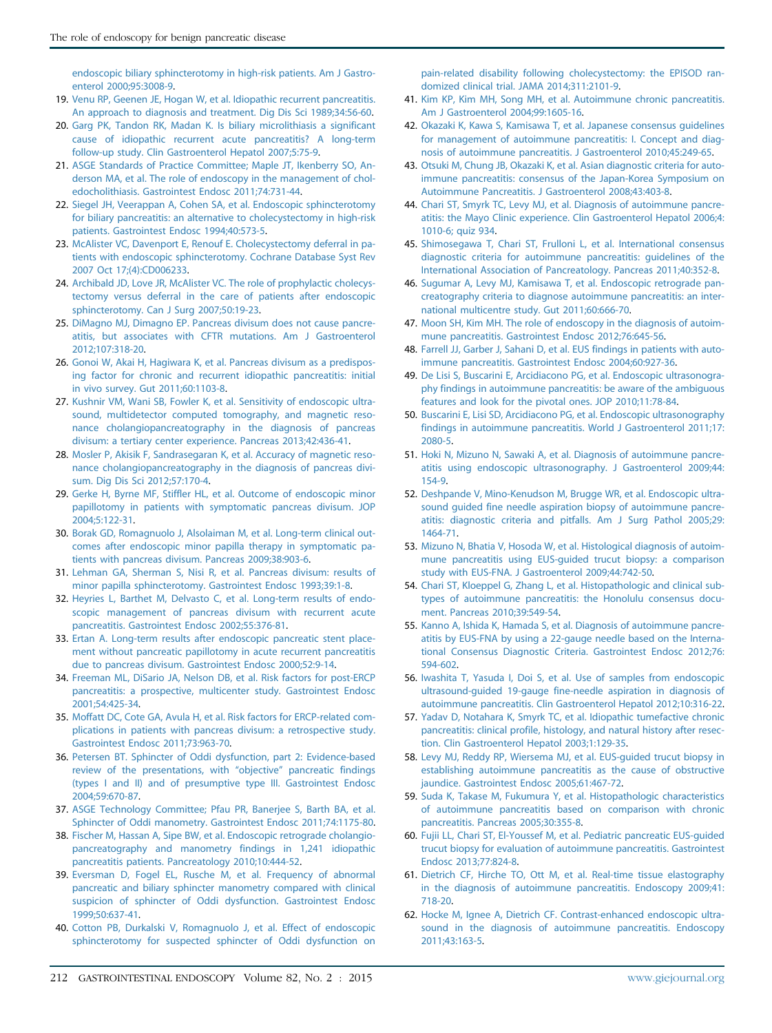<span id="page-9-0"></span>[endoscopic biliary sphincterotomy in high-risk patients. Am J Gastro](http://refhub.elsevier.com/S0016-5107(15)02381-0/sref18)[enterol 2000;95:3008-9](http://refhub.elsevier.com/S0016-5107(15)02381-0/sref18).

- 19. [Venu RP, Geenen JE, Hogan W, et al. Idiopathic recurrent pancreatitis.](http://refhub.elsevier.com/S0016-5107(15)02381-0/sref19) [An approach to diagnosis and treatment. Dig Dis Sci 1989;34:56-60.](http://refhub.elsevier.com/S0016-5107(15)02381-0/sref19)
- 20. [Garg PK, Tandon RK, Madan K. Is biliary microlithiasis a significant](http://refhub.elsevier.com/S0016-5107(15)02381-0/sref20) [cause of idiopathic recurrent acute pancreatitis? A long-term](http://refhub.elsevier.com/S0016-5107(15)02381-0/sref20) [follow-up study. Clin Gastroenterol Hepatol 2007;5:75-9](http://refhub.elsevier.com/S0016-5107(15)02381-0/sref20).
- 21. [ASGE Standards of Practice Committee; Maple JT, Ikenberry SO, An](http://refhub.elsevier.com/S0016-5107(15)02381-0/sref21)[derson MA, et al. The role of endoscopy in the management of chol](http://refhub.elsevier.com/S0016-5107(15)02381-0/sref21)[edocholithiasis. Gastrointest Endosc 2011;74:731-44.](http://refhub.elsevier.com/S0016-5107(15)02381-0/sref21)
- 22. [Siegel JH, Veerappan A, Cohen SA, et al. Endoscopic sphincterotomy](http://refhub.elsevier.com/S0016-5107(15)02381-0/sref22) [for biliary pancreatitis: an alternative to cholecystectomy in high-risk](http://refhub.elsevier.com/S0016-5107(15)02381-0/sref22) [patients. Gastrointest Endosc 1994;40:573-5.](http://refhub.elsevier.com/S0016-5107(15)02381-0/sref22)
- 23. [McAlister VC, Davenport E, Renouf E. Cholecystectomy deferral in pa](http://refhub.elsevier.com/S0016-5107(15)02381-0/sref23)[tients with endoscopic sphincterotomy. Cochrane Database Syst Rev](http://refhub.elsevier.com/S0016-5107(15)02381-0/sref23) [2007 Oct 17;\(4\):CD006233.](http://refhub.elsevier.com/S0016-5107(15)02381-0/sref23)
- 24. [Archibald JD, Love JR, McAlister VC. The role of prophylactic cholecys](http://refhub.elsevier.com/S0016-5107(15)02381-0/sref24)[tectomy versus deferral in the care of patients after endoscopic](http://refhub.elsevier.com/S0016-5107(15)02381-0/sref24) [sphincterotomy. Can J Surg 2007;50:19-23](http://refhub.elsevier.com/S0016-5107(15)02381-0/sref24).
- 25. [DiMagno MJ, Dimagno EP. Pancreas divisum does not cause pancre](http://refhub.elsevier.com/S0016-5107(15)02381-0/sref25)[atitis, but associates with CFTR mutations. Am J Gastroenterol](http://refhub.elsevier.com/S0016-5107(15)02381-0/sref25) [2012;107:318-20.](http://refhub.elsevier.com/S0016-5107(15)02381-0/sref25)
- 26. [Gonoi W, Akai H, Hagiwara K, et al. Pancreas divisum as a predispos](http://refhub.elsevier.com/S0016-5107(15)02381-0/sref26)[ing factor for chronic and recurrent idiopathic pancreatitis: initial](http://refhub.elsevier.com/S0016-5107(15)02381-0/sref26) [in vivo survey. Gut 2011;60:1103-8.](http://refhub.elsevier.com/S0016-5107(15)02381-0/sref26)
- 27. [Kushnir VM, Wani SB, Fowler K, et al. Sensitivity of endoscopic ultra](http://refhub.elsevier.com/S0016-5107(15)02381-0/sref27)[sound, multidetector computed tomography, and magnetic reso](http://refhub.elsevier.com/S0016-5107(15)02381-0/sref27)[nance cholangiopancreatography in the diagnosis of pancreas](http://refhub.elsevier.com/S0016-5107(15)02381-0/sref27) [divisum: a tertiary center experience. Pancreas 2013;42:436-41](http://refhub.elsevier.com/S0016-5107(15)02381-0/sref27).
- 28. [Mosler P, Akisik F, Sandrasegaran K, et al. Accuracy of magnetic reso](http://refhub.elsevier.com/S0016-5107(15)02381-0/sref28)[nance cholangiopancreatography in the diagnosis of pancreas divi](http://refhub.elsevier.com/S0016-5107(15)02381-0/sref28)[sum. Dig Dis Sci 2012;57:170-4](http://refhub.elsevier.com/S0016-5107(15)02381-0/sref28).
- 29. [Gerke H, Byrne MF, Stiffler HL, et al. Outcome of endoscopic minor](http://refhub.elsevier.com/S0016-5107(15)02381-0/sref29) [papillotomy in patients with symptomatic pancreas divisum. JOP](http://refhub.elsevier.com/S0016-5107(15)02381-0/sref29) [2004;5:122-31.](http://refhub.elsevier.com/S0016-5107(15)02381-0/sref29)
- 30. [Borak GD, Romagnuolo J, Alsolaiman M, et al. Long-term clinical out](http://refhub.elsevier.com/S0016-5107(15)02381-0/sref30)[comes after endoscopic minor papilla therapy in symptomatic pa](http://refhub.elsevier.com/S0016-5107(15)02381-0/sref30)[tients with pancreas divisum. Pancreas 2009;38:903-6.](http://refhub.elsevier.com/S0016-5107(15)02381-0/sref30)
- 31. [Lehman GA, Sherman S, Nisi R, et al. Pancreas divisum: results of](http://refhub.elsevier.com/S0016-5107(15)02381-0/sref31) [minor papilla sphincterotomy. Gastrointest Endosc 1993;39:1-8](http://refhub.elsevier.com/S0016-5107(15)02381-0/sref31).
- 32. [Heyries L, Barthet M, Delvasto C, et al. Long-term results of endo](http://refhub.elsevier.com/S0016-5107(15)02381-0/sref32)[scopic management of pancreas divisum with recurrent acute](http://refhub.elsevier.com/S0016-5107(15)02381-0/sref32) [pancreatitis. Gastrointest Endosc 2002;55:376-81.](http://refhub.elsevier.com/S0016-5107(15)02381-0/sref32)
- 33. [Ertan A. Long-term results after endoscopic pancreatic stent place](http://refhub.elsevier.com/S0016-5107(15)02381-0/sref33)[ment without pancreatic papillotomy in acute recurrent pancreatitis](http://refhub.elsevier.com/S0016-5107(15)02381-0/sref33) [due to pancreas divisum. Gastrointest Endosc 2000;52:9-14](http://refhub.elsevier.com/S0016-5107(15)02381-0/sref33).
- 34. [Freeman ML, DiSario JA, Nelson DB, et al. Risk factors for post-ERCP](http://refhub.elsevier.com/S0016-5107(15)02381-0/sref34) [pancreatitis: a prospective, multicenter study. Gastrointest Endosc](http://refhub.elsevier.com/S0016-5107(15)02381-0/sref34) [2001;54:425-34.](http://refhub.elsevier.com/S0016-5107(15)02381-0/sref34)
- 35. [Moffatt DC, Cote GA, Avula H, et al. Risk factors for ERCP-related com](http://refhub.elsevier.com/S0016-5107(15)02381-0/sref35)[plications in patients with pancreas divisum: a retrospective study.](http://refhub.elsevier.com/S0016-5107(15)02381-0/sref35) [Gastrointest Endosc 2011;73:963-70.](http://refhub.elsevier.com/S0016-5107(15)02381-0/sref35)
- 36. [Petersen BT. Sphincter of Oddi dysfunction, part 2: Evidence-based](http://refhub.elsevier.com/S0016-5107(15)02381-0/sref36) [review of the presentations, with](http://refhub.elsevier.com/S0016-5107(15)02381-0/sref36) "objective" pancreatic findings [\(types I and II\) and of presumptive type III. Gastrointest Endosc](http://refhub.elsevier.com/S0016-5107(15)02381-0/sref36) [2004;59:670-87.](http://refhub.elsevier.com/S0016-5107(15)02381-0/sref36)
- 37. [ASGE Technology Committee; Pfau PR, Banerjee S, Barth BA, et al.](http://refhub.elsevier.com/S0016-5107(15)02381-0/sref37) [Sphincter of Oddi manometry. Gastrointest Endosc 2011;74:1175-80](http://refhub.elsevier.com/S0016-5107(15)02381-0/sref37).
- 38. [Fischer M, Hassan A, Sipe BW, et al. Endoscopic retrograde cholangio](http://refhub.elsevier.com/S0016-5107(15)02381-0/sref38)[pancreatography and manometry findings in 1,241 idiopathic](http://refhub.elsevier.com/S0016-5107(15)02381-0/sref38) [pancreatitis patients. Pancreatology 2010;10:444-52](http://refhub.elsevier.com/S0016-5107(15)02381-0/sref38).
- 39. [Eversman D, Fogel EL, Rusche M, et al. Frequency of abnormal](http://refhub.elsevier.com/S0016-5107(15)02381-0/sref39) [pancreatic and biliary sphincter manometry compared with clinical](http://refhub.elsevier.com/S0016-5107(15)02381-0/sref39) [suspicion of sphincter of Oddi dysfunction. Gastrointest Endosc](http://refhub.elsevier.com/S0016-5107(15)02381-0/sref39) [1999;50:637-41.](http://refhub.elsevier.com/S0016-5107(15)02381-0/sref39)
- 40. [Cotton PB, Durkalski V, Romagnuolo J, et al. Effect of endoscopic](http://refhub.elsevier.com/S0016-5107(15)02381-0/sref40) [sphincterotomy for suspected sphincter of Oddi dysfunction on](http://refhub.elsevier.com/S0016-5107(15)02381-0/sref40)

[pain-related disability following cholecystectomy: the EPISOD ran](http://refhub.elsevier.com/S0016-5107(15)02381-0/sref40)[domized clinical trial. JAMA 2014;311:2101-9.](http://refhub.elsevier.com/S0016-5107(15)02381-0/sref40)

- 41. [Kim KP, Kim MH, Song MH, et al. Autoimmune chronic pancreatitis.](http://refhub.elsevier.com/S0016-5107(15)02381-0/sref41) [Am J Gastroenterol 2004;99:1605-16.](http://refhub.elsevier.com/S0016-5107(15)02381-0/sref41)
- 42. [Okazaki K, Kawa S, Kamisawa T, et al. Japanese consensus guidelines](http://refhub.elsevier.com/S0016-5107(15)02381-0/sref42) [for management of autoimmune pancreatitis: I. Concept and diag](http://refhub.elsevier.com/S0016-5107(15)02381-0/sref42)[nosis of autoimmune pancreatitis. J Gastroenterol 2010;45:249-65.](http://refhub.elsevier.com/S0016-5107(15)02381-0/sref42)
- 43. [Otsuki M, Chung JB, Okazaki K, et al. Asian diagnostic criteria for auto](http://refhub.elsevier.com/S0016-5107(15)02381-0/sref43)[immune pancreatitis: consensus of the Japan-Korea Symposium on](http://refhub.elsevier.com/S0016-5107(15)02381-0/sref43) [Autoimmune Pancreatitis. J Gastroenterol 2008;43:403-8.](http://refhub.elsevier.com/S0016-5107(15)02381-0/sref43)
- 44. [Chari ST, Smyrk TC, Levy MJ, et al. Diagnosis of autoimmune pancre](http://refhub.elsevier.com/S0016-5107(15)02381-0/sref44)[atitis: the Mayo Clinic experience. Clin Gastroenterol Hepatol 2006;4:](http://refhub.elsevier.com/S0016-5107(15)02381-0/sref44) [1010-6; quiz 934.](http://refhub.elsevier.com/S0016-5107(15)02381-0/sref44)
- 45. [Shimosegawa T, Chari ST, Frulloni L, et al. International consensus](http://refhub.elsevier.com/S0016-5107(15)02381-0/sref45) [diagnostic criteria for autoimmune pancreatitis: guidelines of the](http://refhub.elsevier.com/S0016-5107(15)02381-0/sref45) [International Association of Pancreatology. Pancreas 2011;40:352-8.](http://refhub.elsevier.com/S0016-5107(15)02381-0/sref45)
- 46. [Sugumar A, Levy MJ, Kamisawa T, et al. Endoscopic retrograde pan](http://refhub.elsevier.com/S0016-5107(15)02381-0/sref46)[creatography criteria to diagnose autoimmune pancreatitis: an inter](http://refhub.elsevier.com/S0016-5107(15)02381-0/sref46)[national multicentre study. Gut 2011;60:666-70.](http://refhub.elsevier.com/S0016-5107(15)02381-0/sref46)
- 47. [Moon SH, Kim MH. The role of endoscopy in the diagnosis of autoim](http://refhub.elsevier.com/S0016-5107(15)02381-0/sref47)[mune pancreatitis. Gastrointest Endosc 2012;76:645-56](http://refhub.elsevier.com/S0016-5107(15)02381-0/sref47).
- 48. [Farrell JJ, Garber J, Sahani D, et al. EUS findings in patients with auto](http://refhub.elsevier.com/S0016-5107(15)02381-0/sref48)[immune pancreatitis. Gastrointest Endosc 2004;60:927-36.](http://refhub.elsevier.com/S0016-5107(15)02381-0/sref48)
- 49. [De Lisi S, Buscarini E, Arcidiacono PG, et al. Endoscopic ultrasonogra](http://refhub.elsevier.com/S0016-5107(15)02381-0/sref49)[phy findings in autoimmune pancreatitis: be aware of the ambiguous](http://refhub.elsevier.com/S0016-5107(15)02381-0/sref49) [features and look for the pivotal ones. JOP 2010;11:78-84.](http://refhub.elsevier.com/S0016-5107(15)02381-0/sref49)
- 50. [Buscarini E, Lisi SD, Arcidiacono PG, et al. Endoscopic ultrasonography](http://refhub.elsevier.com/S0016-5107(15)02381-0/sref50) [findings in autoimmune pancreatitis. World J Gastroenterol 2011;17:](http://refhub.elsevier.com/S0016-5107(15)02381-0/sref50) [2080-5.](http://refhub.elsevier.com/S0016-5107(15)02381-0/sref50)
- 51. [Hoki N, Mizuno N, Sawaki A, et al. Diagnosis of autoimmune pancre](http://refhub.elsevier.com/S0016-5107(15)02381-0/sref51)[atitis using endoscopic ultrasonography. J Gastroenterol 2009;44:](http://refhub.elsevier.com/S0016-5107(15)02381-0/sref51) [154-9.](http://refhub.elsevier.com/S0016-5107(15)02381-0/sref51)
- 52. [Deshpande V, Mino-Kenudson M, Brugge WR, et al. Endoscopic ultra](http://refhub.elsevier.com/S0016-5107(15)02381-0/sref52)[sound guided fine needle aspiration biopsy of autoimmune pancre](http://refhub.elsevier.com/S0016-5107(15)02381-0/sref52)[atitis: diagnostic criteria and pitfalls. Am J Surg Pathol 2005;29:](http://refhub.elsevier.com/S0016-5107(15)02381-0/sref52) [1464-71.](http://refhub.elsevier.com/S0016-5107(15)02381-0/sref52)
- 53. [Mizuno N, Bhatia V, Hosoda W, et al. Histological diagnosis of autoim](http://refhub.elsevier.com/S0016-5107(15)02381-0/sref53)[mune pancreatitis using EUS-guided trucut biopsy: a comparison](http://refhub.elsevier.com/S0016-5107(15)02381-0/sref53) [study with EUS-FNA. J Gastroenterol 2009;44:742-50](http://refhub.elsevier.com/S0016-5107(15)02381-0/sref53).
- 54. [Chari ST, Kloeppel G, Zhang L, et al. Histopathologic and clinical sub](http://refhub.elsevier.com/S0016-5107(15)02381-0/sref54)[types of autoimmune pancreatitis: the Honolulu consensus docu](http://refhub.elsevier.com/S0016-5107(15)02381-0/sref54)[ment. Pancreas 2010;39:549-54](http://refhub.elsevier.com/S0016-5107(15)02381-0/sref54).
- 55. [Kanno A, Ishida K, Hamada S, et al. Diagnosis of autoimmune pancre](http://refhub.elsevier.com/S0016-5107(15)02381-0/sref55)[atitis by EUS-FNA by using a 22-gauge needle based on the Interna](http://refhub.elsevier.com/S0016-5107(15)02381-0/sref55)[tional Consensus Diagnostic Criteria. Gastrointest Endosc 2012;76:](http://refhub.elsevier.com/S0016-5107(15)02381-0/sref55) [594-602.](http://refhub.elsevier.com/S0016-5107(15)02381-0/sref55)
- 56. [Iwashita T, Yasuda I, Doi S, et al. Use of samples from endoscopic](http://refhub.elsevier.com/S0016-5107(15)02381-0/sref56) [ultrasound-guided 19-gauge fine-needle aspiration in diagnosis of](http://refhub.elsevier.com/S0016-5107(15)02381-0/sref56) [autoimmune pancreatitis. Clin Gastroenterol Hepatol 2012;10:316-22.](http://refhub.elsevier.com/S0016-5107(15)02381-0/sref56)
- 57. [Yadav D, Notahara K, Smyrk TC, et al. Idiopathic tumefactive chronic](http://refhub.elsevier.com/S0016-5107(15)02381-0/sref57) [pancreatitis: clinical profile, histology, and natural history after resec](http://refhub.elsevier.com/S0016-5107(15)02381-0/sref57)[tion. Clin Gastroenterol Hepatol 2003;1:129-35](http://refhub.elsevier.com/S0016-5107(15)02381-0/sref57).
- 58. [Levy MJ, Reddy RP, Wiersema MJ, et al. EUS-guided trucut biopsy in](http://refhub.elsevier.com/S0016-5107(15)02381-0/sref58) [establishing autoimmune pancreatitis as the cause of obstructive](http://refhub.elsevier.com/S0016-5107(15)02381-0/sref58) [jaundice. Gastrointest Endosc 2005;61:467-72.](http://refhub.elsevier.com/S0016-5107(15)02381-0/sref58)
- 59. [Suda K, Takase M, Fukumura Y, et al. Histopathologic characteristics](http://refhub.elsevier.com/S0016-5107(15)02381-0/sref59) [of autoimmune pancreatitis based on comparison with chronic](http://refhub.elsevier.com/S0016-5107(15)02381-0/sref59) [pancreatitis. Pancreas 2005;30:355-8](http://refhub.elsevier.com/S0016-5107(15)02381-0/sref59).
- 60. [Fujii LL, Chari ST, El-Youssef M, et al. Pediatric pancreatic EUS-guided](http://refhub.elsevier.com/S0016-5107(15)02381-0/sref60) [trucut biopsy for evaluation of autoimmune pancreatitis. Gastrointest](http://refhub.elsevier.com/S0016-5107(15)02381-0/sref60) [Endosc 2013;77:824-8.](http://refhub.elsevier.com/S0016-5107(15)02381-0/sref60)
- 61. [Dietrich CF, Hirche TO, Ott M, et al. Real-time tissue elastography](http://refhub.elsevier.com/S0016-5107(15)02381-0/sref61) [in the diagnosis of autoimmune pancreatitis. Endoscopy 2009;41:](http://refhub.elsevier.com/S0016-5107(15)02381-0/sref61) [718-20.](http://refhub.elsevier.com/S0016-5107(15)02381-0/sref61)
- 62. [Hocke M, Ignee A, Dietrich CF. Contrast-enhanced endoscopic ultra](http://refhub.elsevier.com/S0016-5107(15)02381-0/sref62)[sound in the diagnosis of autoimmune pancreatitis. Endoscopy](http://refhub.elsevier.com/S0016-5107(15)02381-0/sref62) [2011;43:163-5](http://refhub.elsevier.com/S0016-5107(15)02381-0/sref62).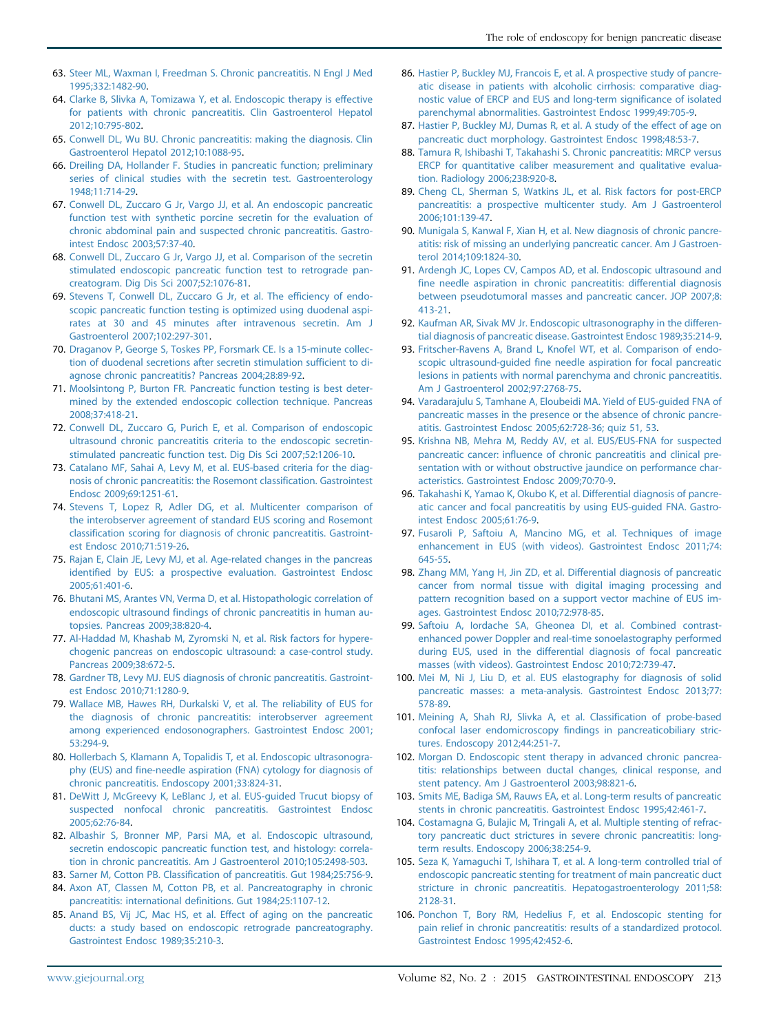- <span id="page-10-0"></span>63. [Steer ML, Waxman I, Freedman S. Chronic pancreatitis. N Engl J Med](http://refhub.elsevier.com/S0016-5107(15)02381-0/sref63) [1995;332:1482-90.](http://refhub.elsevier.com/S0016-5107(15)02381-0/sref63)
- 64. [Clarke B, Slivka A, Tomizawa Y, et al. Endoscopic therapy is effective](http://refhub.elsevier.com/S0016-5107(15)02381-0/sref64) [for patients with chronic pancreatitis. Clin Gastroenterol Hepatol](http://refhub.elsevier.com/S0016-5107(15)02381-0/sref64) [2012;10:795-802.](http://refhub.elsevier.com/S0016-5107(15)02381-0/sref64)
- 65. [Conwell DL, Wu BU. Chronic pancreatitis: making the diagnosis. Clin](http://refhub.elsevier.com/S0016-5107(15)02381-0/sref65) [Gastroenterol Hepatol 2012;10:1088-95](http://refhub.elsevier.com/S0016-5107(15)02381-0/sref65).
- 66. [Dreiling DA, Hollander F. Studies in pancreatic function; preliminary](http://refhub.elsevier.com/S0016-5107(15)02381-0/sref66) [series of clinical studies with the secretin test. Gastroenterology](http://refhub.elsevier.com/S0016-5107(15)02381-0/sref66) [1948;11:714-29.](http://refhub.elsevier.com/S0016-5107(15)02381-0/sref66)
- 67. [Conwell DL, Zuccaro G Jr, Vargo JJ, et al. An endoscopic pancreatic](http://refhub.elsevier.com/S0016-5107(15)02381-0/sref67) [function test with synthetic porcine secretin for the evaluation of](http://refhub.elsevier.com/S0016-5107(15)02381-0/sref67) [chronic abdominal pain and suspected chronic pancreatitis. Gastro](http://refhub.elsevier.com/S0016-5107(15)02381-0/sref67)[intest Endosc 2003;57:37-40](http://refhub.elsevier.com/S0016-5107(15)02381-0/sref67).
- 68. [Conwell DL, Zuccaro G Jr, Vargo JJ, et al. Comparison of the secretin](http://refhub.elsevier.com/S0016-5107(15)02381-0/sref68) [stimulated endoscopic pancreatic function test to retrograde pan](http://refhub.elsevier.com/S0016-5107(15)02381-0/sref68)[creatogram. Dig Dis Sci 2007;52:1076-81](http://refhub.elsevier.com/S0016-5107(15)02381-0/sref68).
- 69. [Stevens T, Conwell DL, Zuccaro G Jr, et al. The efficiency of endo](http://refhub.elsevier.com/S0016-5107(15)02381-0/sref69)[scopic pancreatic function testing is optimized using duodenal aspi](http://refhub.elsevier.com/S0016-5107(15)02381-0/sref69)[rates at 30 and 45 minutes after intravenous secretin. Am J](http://refhub.elsevier.com/S0016-5107(15)02381-0/sref69) [Gastroenterol 2007;102:297-301.](http://refhub.elsevier.com/S0016-5107(15)02381-0/sref69)
- 70. [Draganov P, George S, Toskes PP, Forsmark CE. Is a 15-minute collec](http://refhub.elsevier.com/S0016-5107(15)02381-0/sref70)[tion of duodenal secretions after secretin stimulation sufficient to di](http://refhub.elsevier.com/S0016-5107(15)02381-0/sref70)[agnose chronic pancreatitis? Pancreas 2004;28:89-92](http://refhub.elsevier.com/S0016-5107(15)02381-0/sref70).
- 71. [Moolsintong P, Burton FR. Pancreatic function testing is best deter](http://refhub.elsevier.com/S0016-5107(15)02381-0/sref71)[mined by the extended endoscopic collection technique. Pancreas](http://refhub.elsevier.com/S0016-5107(15)02381-0/sref71) [2008;37:418-21.](http://refhub.elsevier.com/S0016-5107(15)02381-0/sref71)
- 72. [Conwell DL, Zuccaro G, Purich E, et al. Comparison of endoscopic](http://refhub.elsevier.com/S0016-5107(15)02381-0/sref72) [ultrasound chronic pancreatitis criteria to the endoscopic secretin](http://refhub.elsevier.com/S0016-5107(15)02381-0/sref72)[stimulated pancreatic function test. Dig Dis Sci 2007;52:1206-10](http://refhub.elsevier.com/S0016-5107(15)02381-0/sref72).
- 73. [Catalano MF, Sahai A, Levy M, et al. EUS-based criteria for the diag](http://refhub.elsevier.com/S0016-5107(15)02381-0/sref73)[nosis of chronic pancreatitis: the Rosemont classification. Gastrointest](http://refhub.elsevier.com/S0016-5107(15)02381-0/sref73) [Endosc 2009;69:1251-61](http://refhub.elsevier.com/S0016-5107(15)02381-0/sref73).
- 74. [Stevens T, Lopez R, Adler DG, et al. Multicenter comparison of](http://refhub.elsevier.com/S0016-5107(15)02381-0/sref74) [the interobserver agreement of standard EUS scoring and Rosemont](http://refhub.elsevier.com/S0016-5107(15)02381-0/sref74) [classification scoring for diagnosis of chronic pancreatitis. Gastroint](http://refhub.elsevier.com/S0016-5107(15)02381-0/sref74)[est Endosc 2010;71:519-26.](http://refhub.elsevier.com/S0016-5107(15)02381-0/sref74)
- 75. [Rajan E, Clain JE, Levy MJ, et al. Age-related changes in the pancreas](http://refhub.elsevier.com/S0016-5107(15)02381-0/sref75) [identified by EUS: a prospective evaluation. Gastrointest Endosc](http://refhub.elsevier.com/S0016-5107(15)02381-0/sref75) [2005;61:401-6.](http://refhub.elsevier.com/S0016-5107(15)02381-0/sref75)
- 76. [Bhutani MS, Arantes VN, Verma D, et al. Histopathologic correlation of](http://refhub.elsevier.com/S0016-5107(15)02381-0/sref76) [endoscopic ultrasound findings of chronic pancreatitis in human au](http://refhub.elsevier.com/S0016-5107(15)02381-0/sref76)[topsies. Pancreas 2009;38:820-4.](http://refhub.elsevier.com/S0016-5107(15)02381-0/sref76)
- 77. [Al-Haddad M, Khashab M, Zyromski N, et al. Risk factors for hypere](http://refhub.elsevier.com/S0016-5107(15)02381-0/sref77)[chogenic pancreas on endoscopic ultrasound: a case-control study.](http://refhub.elsevier.com/S0016-5107(15)02381-0/sref77) [Pancreas 2009;38:672-5.](http://refhub.elsevier.com/S0016-5107(15)02381-0/sref77)
- 78. [Gardner TB, Levy MJ. EUS diagnosis of chronic pancreatitis. Gastroint](http://refhub.elsevier.com/S0016-5107(15)02381-0/sref78)[est Endosc 2010;71:1280-9.](http://refhub.elsevier.com/S0016-5107(15)02381-0/sref78)
- 79. [Wallace MB, Hawes RH, Durkalski V, et al. The reliability of EUS for](http://refhub.elsevier.com/S0016-5107(15)02381-0/sref79) [the diagnosis of chronic pancreatitis: interobserver agreement](http://refhub.elsevier.com/S0016-5107(15)02381-0/sref79) [among experienced endosonographers. Gastrointest Endosc 2001;](http://refhub.elsevier.com/S0016-5107(15)02381-0/sref79) [53:294-9.](http://refhub.elsevier.com/S0016-5107(15)02381-0/sref79)
- 80. [Hollerbach S, Klamann A, Topalidis T, et al. Endoscopic ultrasonogra](http://refhub.elsevier.com/S0016-5107(15)02381-0/sref80)[phy \(EUS\) and fine-needle aspiration \(FNA\) cytology for diagnosis of](http://refhub.elsevier.com/S0016-5107(15)02381-0/sref80) [chronic pancreatitis. Endoscopy 2001;33:824-31.](http://refhub.elsevier.com/S0016-5107(15)02381-0/sref80)
- 81. [DeWitt J, McGreevy K, LeBlanc J, et al. EUS-guided Trucut biopsy of](http://refhub.elsevier.com/S0016-5107(15)02381-0/sref81) [suspected nonfocal chronic pancreatitis. Gastrointest Endosc](http://refhub.elsevier.com/S0016-5107(15)02381-0/sref81) [2005;62:76-84.](http://refhub.elsevier.com/S0016-5107(15)02381-0/sref81)
- 82. [Albashir S, Bronner MP, Parsi MA, et al. Endoscopic ultrasound,](http://refhub.elsevier.com/S0016-5107(15)02381-0/sref82) [secretin endoscopic pancreatic function test, and histology: correla](http://refhub.elsevier.com/S0016-5107(15)02381-0/sref82)[tion in chronic pancreatitis. Am J Gastroenterol 2010;105:2498-503.](http://refhub.elsevier.com/S0016-5107(15)02381-0/sref82)
- 83. [Sarner M, Cotton PB. Classification of pancreatitis. Gut 1984;25:756-9.](http://refhub.elsevier.com/S0016-5107(15)02381-0/sref83)
- 84. [Axon AT, Classen M, Cotton PB, et al. Pancreatography in chronic](http://refhub.elsevier.com/S0016-5107(15)02381-0/sref84) [pancreatitis: international definitions. Gut 1984;25:1107-12](http://refhub.elsevier.com/S0016-5107(15)02381-0/sref84).
- 85. [Anand BS, Vij JC, Mac HS, et al. Effect of aging on the pancreatic](http://refhub.elsevier.com/S0016-5107(15)02381-0/sref85) [ducts: a study based on endoscopic retrograde pancreatography.](http://refhub.elsevier.com/S0016-5107(15)02381-0/sref85) [Gastrointest Endosc 1989;35:210-3.](http://refhub.elsevier.com/S0016-5107(15)02381-0/sref85)
- 86. [Hastier P, Buckley MJ, Francois E, et al. A prospective study of pancre](http://refhub.elsevier.com/S0016-5107(15)02381-0/sref86)[atic disease in patients with alcoholic cirrhosis: comparative diag](http://refhub.elsevier.com/S0016-5107(15)02381-0/sref86)[nostic value of ERCP and EUS and long-term significance of isolated](http://refhub.elsevier.com/S0016-5107(15)02381-0/sref86) [parenchymal abnormalities. Gastrointest Endosc 1999;49:705-9](http://refhub.elsevier.com/S0016-5107(15)02381-0/sref86).
- 87. [Hastier P, Buckley MJ, Dumas R, et al. A study of the effect of age on](http://refhub.elsevier.com/S0016-5107(15)02381-0/sref87) [pancreatic duct morphology. Gastrointest Endosc 1998;48:53-7](http://refhub.elsevier.com/S0016-5107(15)02381-0/sref87).
- 88. [Tamura R, Ishibashi T, Takahashi S. Chronic pancreatitis: MRCP versus](http://refhub.elsevier.com/S0016-5107(15)02381-0/sref88) [ERCP for quantitative caliber measurement and qualitative evalua](http://refhub.elsevier.com/S0016-5107(15)02381-0/sref88)[tion. Radiology 2006;238:920-8](http://refhub.elsevier.com/S0016-5107(15)02381-0/sref88).
- 89. [Cheng CL, Sherman S, Watkins JL, et al. Risk factors for post-ERCP](http://refhub.elsevier.com/S0016-5107(15)02381-0/sref89) [pancreatitis: a prospective multicenter study. Am J Gastroenterol](http://refhub.elsevier.com/S0016-5107(15)02381-0/sref89) [2006;101:139-47](http://refhub.elsevier.com/S0016-5107(15)02381-0/sref89).
- 90. [Munigala S, Kanwal F, Xian H, et al. New diagnosis of chronic pancre](http://refhub.elsevier.com/S0016-5107(15)02381-0/sref90)[atitis: risk of missing an underlying pancreatic cancer. Am J Gastroen](http://refhub.elsevier.com/S0016-5107(15)02381-0/sref90)[terol 2014;109:1824-30](http://refhub.elsevier.com/S0016-5107(15)02381-0/sref90).
- 91. [Ardengh JC, Lopes CV, Campos AD, et al. Endoscopic ultrasound and](http://refhub.elsevier.com/S0016-5107(15)02381-0/sref91) [fine needle aspiration in chronic pancreatitis: differential diagnosis](http://refhub.elsevier.com/S0016-5107(15)02381-0/sref91) [between pseudotumoral masses and pancreatic cancer. JOP 2007;8:](http://refhub.elsevier.com/S0016-5107(15)02381-0/sref91) [413-21.](http://refhub.elsevier.com/S0016-5107(15)02381-0/sref91)
- 92. [Kaufman AR, Sivak MV Jr. Endoscopic ultrasonography in the differen](http://refhub.elsevier.com/S0016-5107(15)02381-0/sref92)[tial diagnosis of pancreatic disease. Gastrointest Endosc 1989;35:214-9](http://refhub.elsevier.com/S0016-5107(15)02381-0/sref92).
- 93. [Fritscher-Ravens A, Brand L, Knofel WT, et al. Comparison of endo](http://refhub.elsevier.com/S0016-5107(15)02381-0/sref93)[scopic ultrasound-guided fine needle aspiration for focal pancreatic](http://refhub.elsevier.com/S0016-5107(15)02381-0/sref93) [lesions in patients with normal parenchyma and chronic pancreatitis.](http://refhub.elsevier.com/S0016-5107(15)02381-0/sref93) [Am J Gastroenterol 2002;97:2768-75.](http://refhub.elsevier.com/S0016-5107(15)02381-0/sref93)
- 94. [Varadarajulu S, Tamhane A, Eloubeidi MA. Yield of EUS-guided FNA of](http://refhub.elsevier.com/S0016-5107(15)02381-0/sref94) [pancreatic masses in the presence or the absence of chronic pancre](http://refhub.elsevier.com/S0016-5107(15)02381-0/sref94)[atitis. Gastrointest Endosc 2005;62:728-36; quiz 51, 53.](http://refhub.elsevier.com/S0016-5107(15)02381-0/sref94)
- 95. [Krishna NB, Mehra M, Reddy AV, et al. EUS/EUS-FNA for suspected](http://refhub.elsevier.com/S0016-5107(15)02381-0/sref95) [pancreatic cancer: influence of chronic pancreatitis and clinical pre](http://refhub.elsevier.com/S0016-5107(15)02381-0/sref95)[sentation with or without obstructive jaundice on performance char](http://refhub.elsevier.com/S0016-5107(15)02381-0/sref95)[acteristics. Gastrointest Endosc 2009;70:70-9.](http://refhub.elsevier.com/S0016-5107(15)02381-0/sref95)
- 96. [Takahashi K, Yamao K, Okubo K, et al. Differential diagnosis of pancre](http://refhub.elsevier.com/S0016-5107(15)02381-0/sref96)[atic cancer and focal pancreatitis by using EUS-guided FNA. Gastro](http://refhub.elsevier.com/S0016-5107(15)02381-0/sref96)[intest Endosc 2005;61:76-9.](http://refhub.elsevier.com/S0016-5107(15)02381-0/sref96)
- 97. [Fusaroli P, Saftoiu A, Mancino MG, et al. Techniques of image](http://refhub.elsevier.com/S0016-5107(15)02381-0/sref97) [enhancement in EUS \(with videos\). Gastrointest Endosc 2011;74:](http://refhub.elsevier.com/S0016-5107(15)02381-0/sref97) [645-55.](http://refhub.elsevier.com/S0016-5107(15)02381-0/sref97)
- 98. [Zhang MM, Yang H, Jin ZD, et al. Differential diagnosis of pancreatic](http://refhub.elsevier.com/S0016-5107(15)02381-0/sref98) [cancer from normal tissue with digital imaging processing and](http://refhub.elsevier.com/S0016-5107(15)02381-0/sref98) [pattern recognition based on a support vector machine of EUS im](http://refhub.elsevier.com/S0016-5107(15)02381-0/sref98)[ages. Gastrointest Endosc 2010;72:978-85.](http://refhub.elsevier.com/S0016-5107(15)02381-0/sref98)
- 99. [Saftoiu A, Iordache SA, Gheonea DI, et al. Combined contrast](http://refhub.elsevier.com/S0016-5107(15)02381-0/sref99)[enhanced power Doppler and real-time sonoelastography performed](http://refhub.elsevier.com/S0016-5107(15)02381-0/sref99) [during EUS, used in the differential diagnosis of focal pancreatic](http://refhub.elsevier.com/S0016-5107(15)02381-0/sref99) [masses \(with videos\). Gastrointest Endosc 2010;72:739-47](http://refhub.elsevier.com/S0016-5107(15)02381-0/sref99).
- 100. [Mei M, Ni J, Liu D, et al. EUS elastography for diagnosis of solid](http://refhub.elsevier.com/S0016-5107(15)02381-0/sref100) [pancreatic masses: a meta-analysis. Gastrointest Endosc 2013;77:](http://refhub.elsevier.com/S0016-5107(15)02381-0/sref100) [578-89.](http://refhub.elsevier.com/S0016-5107(15)02381-0/sref100)
- 101. [Meining A, Shah RJ, Slivka A, et al. Classification of probe-based](http://refhub.elsevier.com/S0016-5107(15)02381-0/sref101) [confocal laser endomicroscopy findings in pancreaticobiliary stric](http://refhub.elsevier.com/S0016-5107(15)02381-0/sref101)[tures. Endoscopy 2012;44:251-7.](http://refhub.elsevier.com/S0016-5107(15)02381-0/sref101)
- 102. [Morgan D. Endoscopic stent therapy in advanced chronic pancrea](http://refhub.elsevier.com/S0016-5107(15)02381-0/sref102)[titis: relationships between ductal changes, clinical response, and](http://refhub.elsevier.com/S0016-5107(15)02381-0/sref102) [stent patency. Am J Gastroenterol 2003;98:821-6.](http://refhub.elsevier.com/S0016-5107(15)02381-0/sref102)
- 103. [Smits ME, Badiga SM, Rauws EA, et al. Long-term results of pancreatic](http://refhub.elsevier.com/S0016-5107(15)02381-0/sref103) [stents in chronic pancreatitis. Gastrointest Endosc 1995;42:461-7.](http://refhub.elsevier.com/S0016-5107(15)02381-0/sref103)
- 104. [Costamagna G, Bulajic M, Tringali A, et al. Multiple stenting of refrac](http://refhub.elsevier.com/S0016-5107(15)02381-0/sref104)[tory pancreatic duct strictures in severe chronic pancreatitis: long](http://refhub.elsevier.com/S0016-5107(15)02381-0/sref104)[term results. Endoscopy 2006;38:254-9](http://refhub.elsevier.com/S0016-5107(15)02381-0/sref104).
- 105. [Seza K, Yamaguchi T, Ishihara T, et al. A long-term controlled trial of](http://refhub.elsevier.com/S0016-5107(15)02381-0/sref105) [endoscopic pancreatic stenting for treatment of main pancreatic duct](http://refhub.elsevier.com/S0016-5107(15)02381-0/sref105) [stricture in chronic pancreatitis. Hepatogastroenterology 2011;58:](http://refhub.elsevier.com/S0016-5107(15)02381-0/sref105) [2128-31.](http://refhub.elsevier.com/S0016-5107(15)02381-0/sref105)
- 106. [Ponchon T, Bory RM, Hedelius F, et al. Endoscopic stenting for](http://refhub.elsevier.com/S0016-5107(15)02381-0/sref106) [pain relief in chronic pancreatitis: results of a standardized protocol.](http://refhub.elsevier.com/S0016-5107(15)02381-0/sref106) [Gastrointest Endosc 1995;42:452-6](http://refhub.elsevier.com/S0016-5107(15)02381-0/sref106).